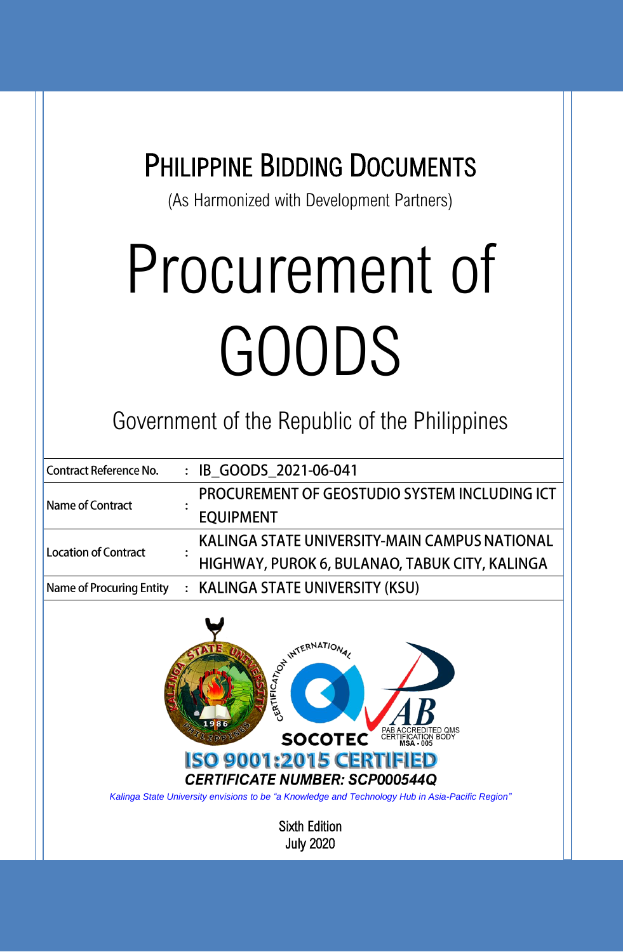### PHILIPPINE BIDDING DOCUMENTS

(As Harmonized with Development Partners)

## Procurement of GOODS

Government of the Republic of the Philippines

| <b>Contract Reference No.</b>   |  | : IB_GOODS_2021-06-041                               |
|---------------------------------|--|------------------------------------------------------|
| Name of Contract                |  | <b>PROCUREMENT OF GEOSTUDIO SYSTEM INCLUDING ICT</b> |
|                                 |  | <b>EQUIPMENT</b>                                     |
| <b>Location of Contract</b>     |  | KALINGA STATE UNIVERSITY-MAIN CAMPUS NATIONAL        |
|                                 |  | HIGHWAY, PUROK 6, BULANAO, TABUK CITY, KALINGA       |
| <b>Name of Procuring Entity</b> |  | : KALINGA STATE UNIVERSITY (KSU)                     |



*Kalinga State University envisions to be "a Knowledge and Technology Hub in Asia-Pacific Region"*

Sixth Edition July 2020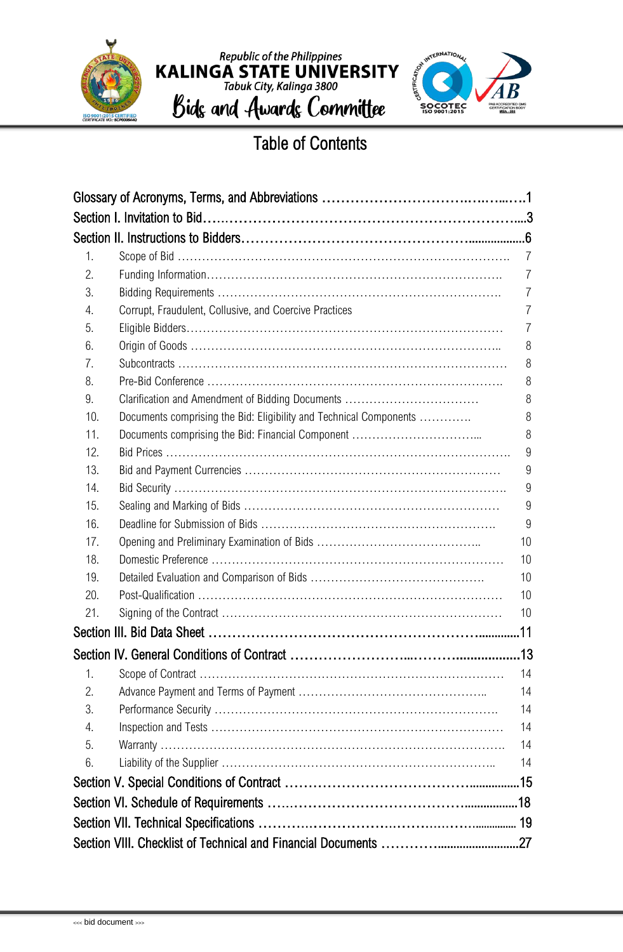



### Table of Contents

| 1.  |                                                                    | $\overline{7}$ |
|-----|--------------------------------------------------------------------|----------------|
| 2.  |                                                                    | $\overline{7}$ |
| 3.  |                                                                    | 7              |
| 4.  | Corrupt, Fraudulent, Collusive, and Coercive Practices             | 7              |
| 5.  |                                                                    | 7              |
| 6.  |                                                                    | 8              |
| 7.  |                                                                    | 8              |
| 8.  |                                                                    | 8              |
| 9.  | Clarification and Amendment of Bidding Documents                   | 8              |
| 10. | Documents comprising the Bid: Eligibility and Technical Components | 8              |
| 11. |                                                                    | 8              |
| 12. |                                                                    | 9              |
| 13. |                                                                    | 9              |
| 14. |                                                                    | 9              |
| 15. |                                                                    | 9              |
| 16. |                                                                    | 9              |
| 17. |                                                                    | 10             |
| 18. |                                                                    | 10             |
| 19. |                                                                    | 10             |
| 20. |                                                                    | 10             |
| 21. |                                                                    | 10             |
|     |                                                                    |                |
|     |                                                                    |                |
| 1.  |                                                                    | 14             |
| 2.  |                                                                    | 14             |
| 3.  |                                                                    | 14             |
| 4.  |                                                                    | 14             |
| 5.  |                                                                    | 14             |
| 6.  |                                                                    | 14             |
|     |                                                                    |                |
|     |                                                                    |                |
|     |                                                                    |                |
|     |                                                                    |                |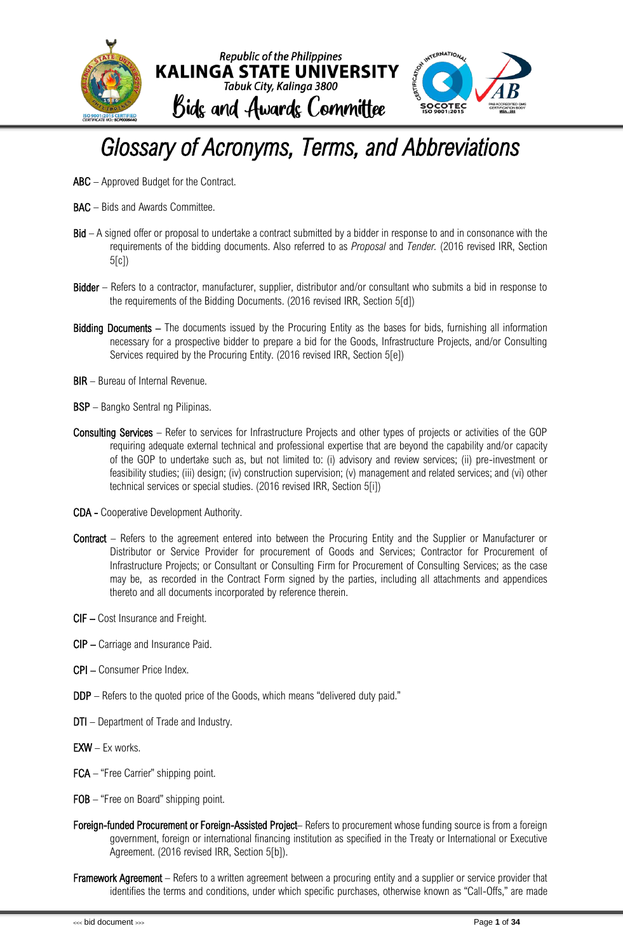

### <span id="page-2-0"></span>*Glossary of Acronyms, Terms, and Abbreviations*

- ABC Approved Budget for the Contract.
- BAC Bids and Awards Committee.
- Bid A signed offer or proposal to undertake a contract submitted by a bidder in response to and in consonance with the requirements of the bidding documents. Also referred to as *Proposal* and *Tender.* (2016 revised IRR, Section 5[c])
- Bidder Refers to a contractor, manufacturer, supplier, distributor and/or consultant who submits a bid in response to the requirements of the Bidding Documents. (2016 revised IRR, Section 5[d])
- Bidding Documents The documents issued by the Procuring Entity as the bases for bids, furnishing all information necessary for a prospective bidder to prepare a bid for the Goods, Infrastructure Projects, and/or Consulting Services required by the Procuring Entity. (2016 revised IRR, Section 5[e])
- BIR Bureau of Internal Revenue.
- BSP Bangko Sentral ng Pilipinas.
- Consulting Services Refer to services for Infrastructure Projects and other types of projects or activities of the GOP requiring adequate external technical and professional expertise that are beyond the capability and/or capacity of the GOP to undertake such as, but not limited to: (i) advisory and review services; (ii) pre-investment or feasibility studies; (iii) design; (iv) construction supervision; (v) management and related services; and (vi) other technical services or special studies. (2016 revised IRR, Section 5[i])
- CDA Cooperative Development Authority.
- Contract Refers to the agreement entered into between the Procuring Entity and the Supplier or Manufacturer or Distributor or Service Provider for procurement of Goods and Services; Contractor for Procurement of Infrastructure Projects; or Consultant or Consulting Firm for Procurement of Consulting Services; as the case may be, as recorded in the Contract Form signed by the parties, including all attachments and appendices thereto and all documents incorporated by reference therein.
- CIF Cost Insurance and Freight.
- CIP Carriage and Insurance Paid.
- CPI Consumer Price Index.
- DDP Refers to the quoted price of the Goods, which means "delivered duty paid."
- DTI Department of Trade and Industry.
- $EXW Ex$  works.
- FCA "Free Carrier" shipping point.
- FOB "Free on Board" shipping point.
- Foreign-funded Procurement or Foreign-Assisted Project- Refers to procurement whose funding source is from a foreign government, foreign or international financing institution as specified in the Treaty or International or Executive Agreement. (2016 revised IRR, Section 5[b]).
- **Framework Agreement** Refers to a written agreement between a procuring entity and a supplier or service provider that identifies the terms and conditions, under which specific purchases, otherwise known as "Call-Offs," are made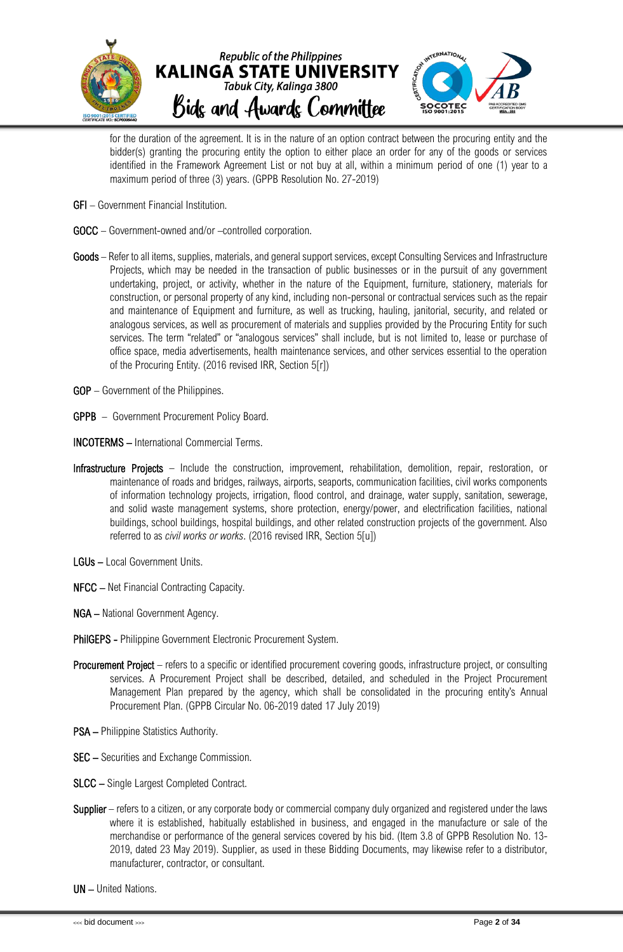

for the duration of the agreement. It is in the nature of an option contract between the procuring entity and the bidder(s) granting the procuring entity the option to either place an order for any of the goods or services identified in the Framework Agreement List or not buy at all, within a minimum period of one (1) year to a maximum period of three (3) years. (GPPB Resolution No. 27-2019)

- GFI Government Financial Institution.
- GOCC Government-owned and/or –controlled corporation.
- Goods Refer to all items, supplies, materials, and general support services, except Consulting Services and Infrastructure Projects, which may be needed in the transaction of public businesses or in the pursuit of any government undertaking, project, or activity, whether in the nature of the Equipment, furniture, stationery, materials for construction, or personal property of any kind, including non-personal or contractual services such as the repair and maintenance of Equipment and furniture, as well as trucking, hauling, janitorial, security, and related or analogous services, as well as procurement of materials and supplies provided by the Procuring Entity for such services. The term "related" or "analogous services" shall include, but is not limited to, lease or purchase of office space, media advertisements, health maintenance services, and other services essential to the operation of the Procuring Entity. (2016 revised IRR, Section 5[r])
- GOP Government of the Philippines.
- GPPB Government Procurement Policy Board.
- INCOTERMS International Commercial Terms.
- Infrastructure Projects Include the construction, improvement, rehabilitation, demolition, repair, restoration, or maintenance of roads and bridges, railways, airports, seaports, communication facilities, civil works components of information technology projects, irrigation, flood control, and drainage, water supply, sanitation, sewerage, and solid waste management systems, shore protection, energy/power, and electrification facilities, national buildings, school buildings, hospital buildings, and other related construction projects of the government. Also referred to as *civil works or works*. (2016 revised IRR, Section 5[u])
- LGUs Local Government Units.
- NFCC Net Financial Contracting Capacity.
- NGA National Government Agency.
- PhilGEPS Philippine Government Electronic Procurement System.
- Procurement Project refers to a specific or identified procurement covering goods, infrastructure project, or consulting services. A Procurement Project shall be described, detailed, and scheduled in the Project Procurement Management Plan prepared by the agency, which shall be consolidated in the procuring entity's Annual Procurement Plan. (GPPB Circular No. 06-2019 dated 17 July 2019)
- PSA Philippine Statistics Authority.
- SEC Securities and Exchange Commission.
- SLCC Single Largest Completed Contract.
- Supplier refers to a citizen, or any corporate body or commercial company duly organized and registered under the laws where it is established, habitually established in business, and engaged in the manufacture or sale of the merchandise or performance of the general services covered by his bid. (Item 3.8 of GPPB Resolution No. 13- 2019, dated 23 May 2019). Supplier, as used in these Bidding Documents, may likewise refer to a distributor, manufacturer, contractor, or consultant.

UN – United Nations.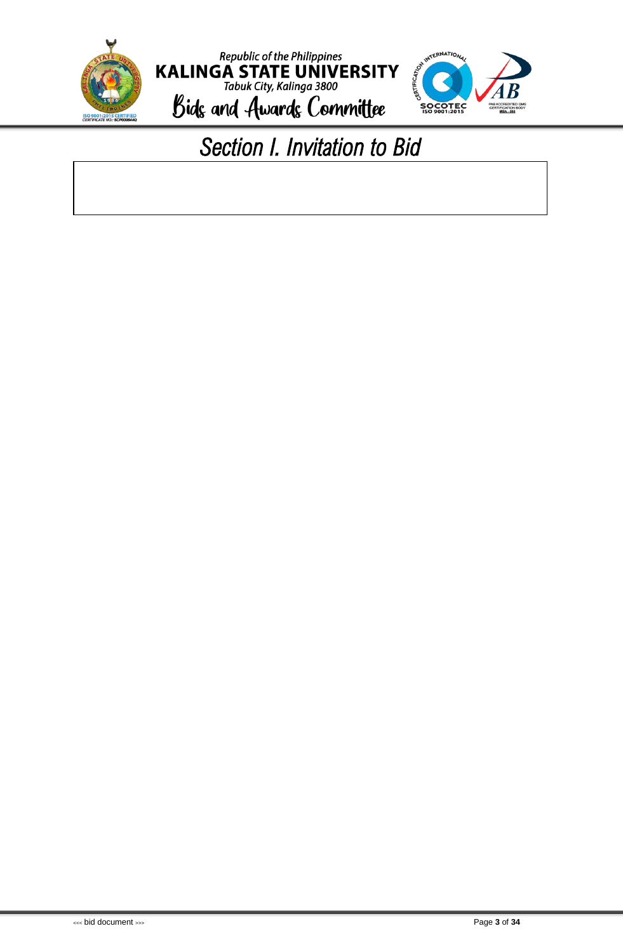<span id="page-4-0"></span>



### *Section I. Invitation to Bid*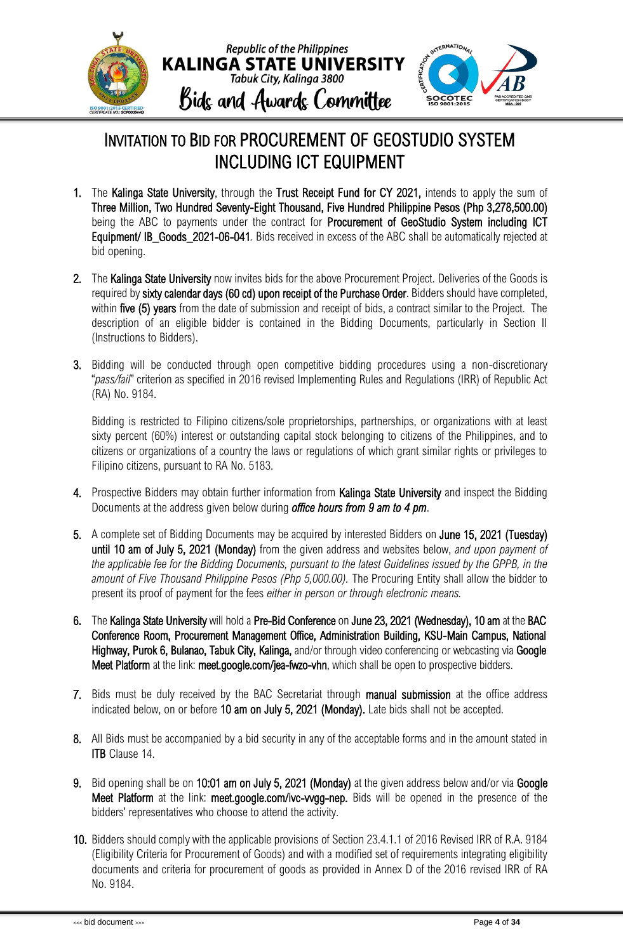

### INVITATION TO BID FOR PROCUREMENT OF GEOSTUDIO SYSTEM INCLUDING ICT EQUIPMENT

- 1. The Kalinga State University, through the Trust Receipt Fund for CY 2021, intends to apply the sum of Three Million, Two Hundred Seventy-Eight Thousand, Five Hundred Philippine Pesos (Php 3,278,500.00) being the ABC to payments under the contract for Procurement of GeoStudio System including ICT Equipment/ IB\_Goods\_2021-06-041*.* Bids received in excess of the ABC shall be automatically rejected at bid opening.
- 2. The Kalinga State University now invites bids for the above Procurement Project. Deliveries of the Goods is required by sixty calendar days (60 cd) upon receipt of the Purchase Order. Bidders should have completed, within five (5) years from the date of submission and receipt of bids, a contract similar to the Project. The description of an eligible bidder is contained in the Bidding Documents, particularly in Section II (Instructions to Bidders).
- 3. Bidding will be conducted through open competitive bidding procedures using a non-discretionary "*pass/fail*" criterion as specified in 2016 revised Implementing Rules and Regulations (IRR) of Republic Act (RA) No. 9184.

Bidding is restricted to Filipino citizens/sole proprietorships, partnerships, or organizations with at least sixty percent (60%) interest or outstanding capital stock belonging to citizens of the Philippines, and to citizens or organizations of a country the laws or regulations of which grant similar rights or privileges to Filipino citizens, pursuant to RA No. 5183.

- 4. Prospective Bidders may obtain further information from Kalinga State University and inspect the Bidding Documents at the address given below during *office hours from 9 am to 4 pm*.
- 5. A complete set of Bidding Documents may be acquired by interested Bidders on June 15, 2021 (Tuesday) until 10 am of July 5, 2021 (Monday) from the given address and websites below, *and upon payment of the applicable fee for the Bidding Documents, pursuant to the latest Guidelines issued by the GPPB, in the amount of Five Thousand Philippine Pesos (Php 5,000.00).* The Procuring Entity shall allow the bidder to present its proof of payment for the fees *either in person or through electronic means.*
- 6. The Kalinga State University will hold a Pre-Bid Conference on June 23, 2021 (Wednesday), 10 am at the BAC Conference Room, Procurement Management Office, Administration Building, KSU-Main Campus, National Highway, Purok 6, Bulanao, Tabuk City, Kalinga, and/or through video conferencing or webcasting via Google Meet Platform at the link: meet.google.com/jea-fwzo-vhn, which shall be open to prospective bidders.
- 7. Bids must be duly received by the BAC Secretariat through manual submission at the office address indicated below, on or before 10 am on July 5, 2021 (Monday). Late bids shall not be accepted.
- 8. All Bids must be accompanied by a bid security in any of the acceptable forms and in the amount stated in **ITB** Clause 14.
- 9. Bid opening shall be on 10:01 am on July 5, 2021 (Monday) at the given address below and/or via Google Meet Platform at the link: meet.google.com/ivc-vygg-nep. Bids will be opened in the presence of the bidders' representatives who choose to attend the activity.
- 10. Bidders should comply with the applicable provisions of Section 23.4.1.1 of 2016 Revised IRR of R.A. 9184 (Eligibility Criteria for Procurement of Goods) and with a modified set of requirements integrating eligibility documents and criteria for procurement of goods as provided in Annex D of the 2016 revised IRR of RA No. 9184.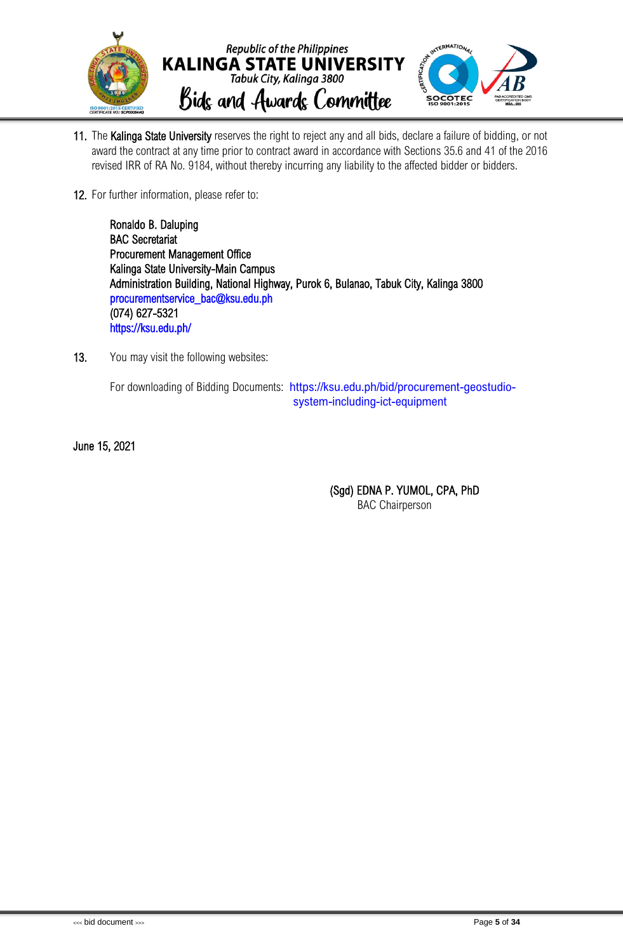

- 11. The Kalinga State University reserves the right to reject any and all bids, declare a failure of bidding, or not award the contract at any time prior to contract award in accordance with Sections 35.6 and 41 of the 2016 revised IRR of RA No. 9184, without thereby incurring any liability to the affected bidder or bidders.
- 12. For further information, please refer to:

Ronaldo B. Daluping BAC Secretariat Procurement Management Office Kalinga State University-Main Campus Administration Building, National Highway, Purok 6, Bulanao, Tabuk City, Kalinga 3800 [procurementservice\\_bac@ksu.edu.ph](mailto:procurementservice_bac@ksu.edu.ph)  (074) 627-5321 <https://ksu.edu.ph/>

13. You may visit the following websites:

For downloading of Bidding Documents: [https://ksu.edu.ph/bid/procurement-geostudio](https://ksu.edu.ph/bid/procurement-geostudio-system-including-ict-equipment)[system-including-ict-equipment](https://ksu.edu.ph/bid/procurement-geostudio-system-including-ict-equipment)

June 15, 2021

(Sgd) EDNA P. YUMOL, CPA, PhD BAC Chairperson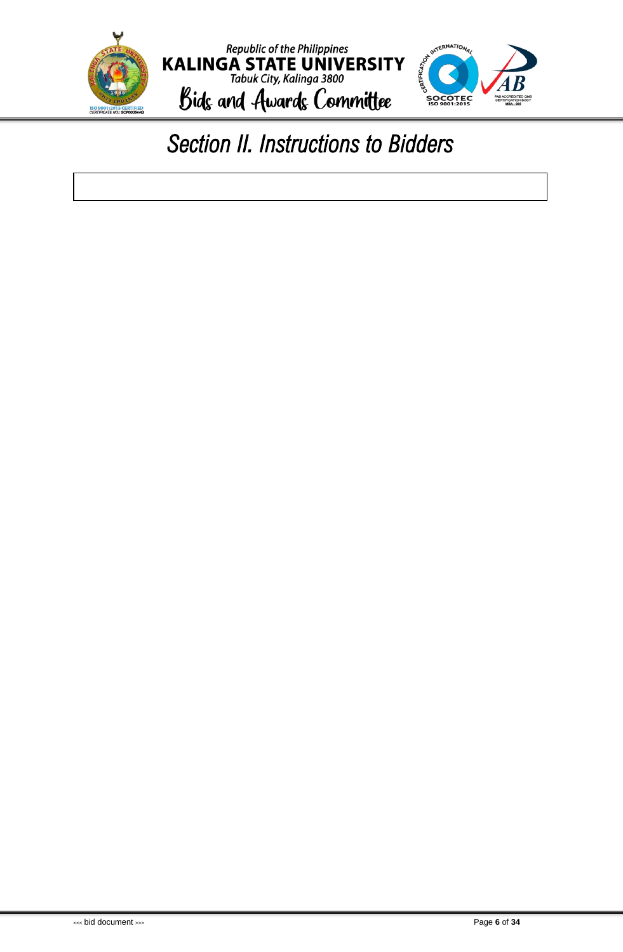

### <span id="page-7-0"></span>*Section II. Instructions to Bidders*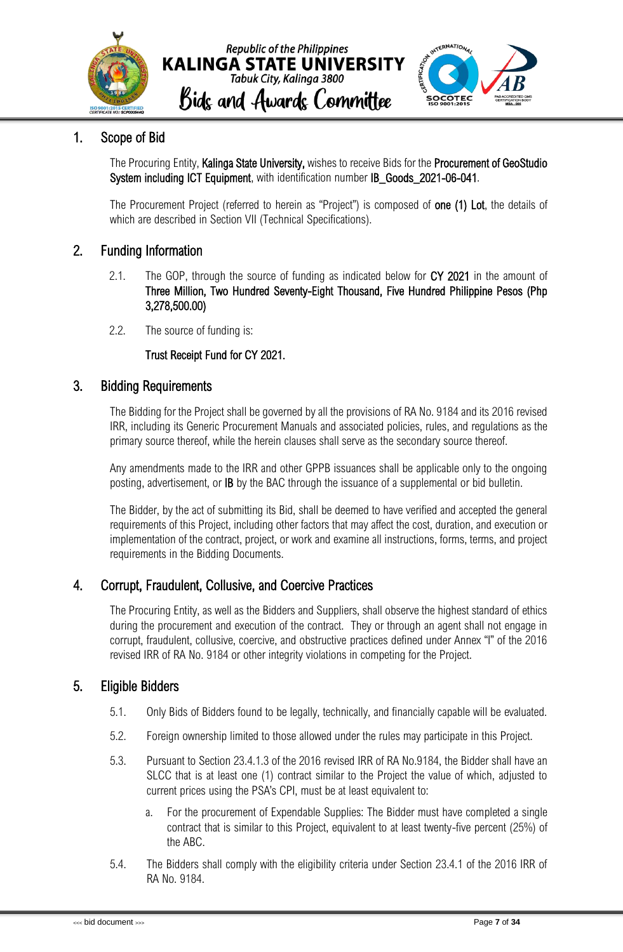



### <span id="page-8-0"></span>1. Scope of Bid

The Procuring Entity, Kalinga State University, wishes to receive Bids for the Procurement of GeoStudio System including ICT Equipment, with identification number IB\_Goods\_2021-06-041.

The Procurement Project (referred to herein as "Project") is composed of **one (1) Lot**, the details of which are described in Section VII (Technical Specifications).

### <span id="page-8-1"></span>2. Funding Information

- 2.1. The GOP, through the source of funding as indicated below for CY 2021 in the amount of Three Million, Two Hundred Seventy-Eight Thousand, Five Hundred Philippine Pesos (Php 3,278,500.00)
- 2.2. The source of funding is:

### Trust Receipt Fund for CY 2021.

### <span id="page-8-2"></span>3. Bidding Requirements

The Bidding for the Project shall be governed by all the provisions of RA No. 9184 and its 2016 revised IRR, including its Generic Procurement Manuals and associated policies, rules, and regulations as the primary source thereof, while the herein clauses shall serve as the secondary source thereof.

Any amendments made to the IRR and other GPPB issuances shall be applicable only to the ongoing posting, advertisement, or IB by the BAC through the issuance of a supplemental or bid bulletin.

The Bidder, by the act of submitting its Bid, shall be deemed to have verified and accepted the general requirements of this Project, including other factors that may affect the cost, duration, and execution or implementation of the contract, project, or work and examine all instructions, forms, terms, and project requirements in the Bidding Documents.

### <span id="page-8-3"></span>4. Corrupt, Fraudulent, Collusive, and Coercive Practices

The Procuring Entity, as well as the Bidders and Suppliers, shall observe the highest standard of ethics during the procurement and execution of the contract. They or through an agent shall not engage in corrupt, fraudulent, collusive, coercive, and obstructive practices defined under Annex "I" of the 2016 revised IRR of RA No. 9184 or other integrity violations in competing for the Project.

### <span id="page-8-4"></span>5. Eligible Bidders

- 5.1. Only Bids of Bidders found to be legally, technically, and financially capable will be evaluated.
- 5.2. Foreign ownership limited to those allowed under the rules may participate in this Project.
- 5.3. Pursuant to Section 23.4.1.3 of the 2016 revised IRR of RA No.9184, the Bidder shall have an SLCC that is at least one (1) contract similar to the Project the value of which, adjusted to current prices using the PSA's CPI, must be at least equivalent to:
	- a. For the procurement of Expendable Supplies: The Bidder must have completed a single contract that is similar to this Project, equivalent to at least twenty-five percent (25%) of the ABC.
- 5.4. The Bidders shall comply with the eligibility criteria under Section 23.4.1 of the 2016 IRR of RA No. 9184.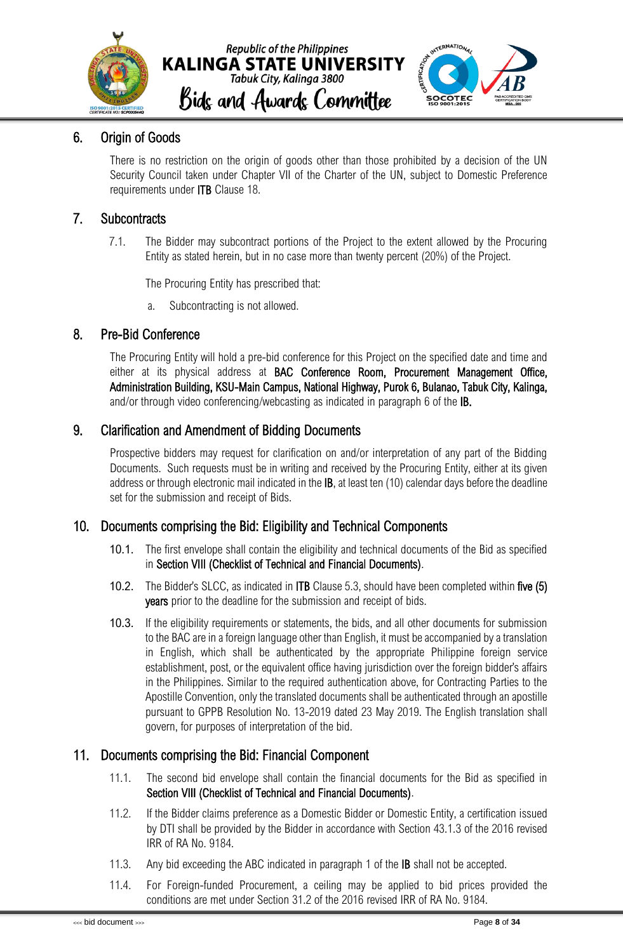



### <span id="page-9-0"></span>6. Origin of Goods

There is no restriction on the origin of goods other than those prohibited by a decision of the UN Security Council taken under Chapter VII of the Charter of the UN, subject to Domestic Preference requirements under ITB Clause 18.

### <span id="page-9-1"></span>7. Subcontracts

7.1. The Bidder may subcontract portions of the Project to the extent allowed by the Procuring Entity as stated herein, but in no case more than twenty percent (20%) of the Project.

The Procuring Entity has prescribed that:

a. Subcontracting is not allowed.

### <span id="page-9-2"></span>8. Pre-Bid Conference

The Procuring Entity will hold a pre-bid conference for this Project on the specified date and time and either at its physical address at BAC Conference Room, Procurement Management Office, Administration Building, KSU-Main Campus, National Highway, Purok 6, Bulanao, Tabuk City, Kalinga, and/or through video conferencing/webcasting as indicated in paragraph 6 of the IB.

### <span id="page-9-3"></span>9. Clarification and Amendment of Bidding Documents

Prospective bidders may request for clarification on and/or interpretation of any part of the Bidding Documents. Such requests must be in writing and received by the Procuring Entity, either at its given address or through electronic mail indicated in the IB, at least ten (10) calendar days before the deadline set for the submission and receipt of Bids.

### <span id="page-9-4"></span>10. Documents comprising the Bid: Eligibility and Technical Components

- 10.1. The first envelope shall contain the eligibility and technical documents of the Bid as specified in Section VIII (Checklist of Technical and Financial Documents).
- 10.2. The Bidder's SLCC, as indicated in ITB Clause 5.3, should have been completed within five (5) **years** prior to the deadline for the submission and receipt of bids.
- 10.3. If the eligibility requirements or statements, the bids, and all other documents for submission to the BAC are in a foreign language other than English, it must be accompanied by a translation in English, which shall be authenticated by the appropriate Philippine foreign service establishment, post, or the equivalent office having jurisdiction over the foreign bidder's affairs in the Philippines. Similar to the required authentication above, for Contracting Parties to the Apostille Convention, only the translated documents shall be authenticated through an apostille pursuant to GPPB Resolution No. 13-2019 dated 23 May 2019. The English translation shall govern, for purposes of interpretation of the bid.

### <span id="page-9-5"></span>11. Documents comprising the Bid: Financial Component

- 11.1. The second bid envelope shall contain the financial documents for the Bid as specified in Section VIII (Checklist of Technical and Financial Documents).
- 11.2. If the Bidder claims preference as a Domestic Bidder or Domestic Entity, a certification issued by DTI shall be provided by the Bidder in accordance with Section 43.1.3 of the 2016 revised IRR of RA No. 9184.
- 11.3. Any bid exceeding the ABC indicated in paragraph 1 of the **IB** shall not be accepted.
- 11.4. For Foreign-funded Procurement, a ceiling may be applied to bid prices provided the conditions are met under Section 31.2 of the 2016 revised IRR of RA No. 9184.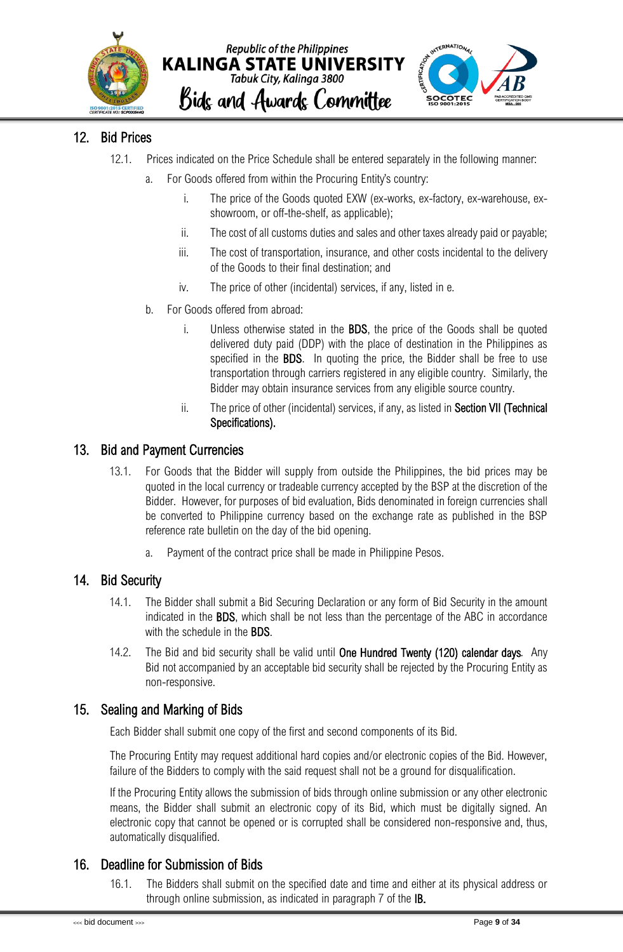



### <span id="page-10-0"></span>12. Bid Prices

- 12.1. Prices indicated on the Price Schedule shall be entered separately in the following manner:
	- a. For Goods offered from within the Procuring Entity's country:
		- i. The price of the Goods quoted EXW (ex-works, ex-factory, ex-warehouse, exshowroom, or off-the-shelf, as applicable);
		- ii. The cost of all customs duties and sales and other taxes already paid or payable;
		- iii. The cost of transportation, insurance, and other costs incidental to the delivery of the Goods to their final destination; and
		- iv. The price of other (incidental) services, if any, listed in e.
	- b. For Goods offered from abroad:
		- i. Unless otherwise stated in the BDS, the price of the Goods shall be quoted delivered duty paid (DDP) with the place of destination in the Philippines as specified in the **BDS**. In quoting the price, the Bidder shall be free to use transportation through carriers registered in any eligible country. Similarly, the Bidder may obtain insurance services from any eligible source country.
		- ii. The price of other (incidental) services, if any, as listed in Section VII (Technical Specifications).

### <span id="page-10-1"></span>13. Bid and Payment Currencies

- 13.1. For Goods that the Bidder will supply from outside the Philippines, the bid prices may be quoted in the local currency or tradeable currency accepted by the BSP at the discretion of the Bidder. However, for purposes of bid evaluation, Bids denominated in foreign currencies shall be converted to Philippine currency based on the exchange rate as published in the BSP reference rate bulletin on the day of the bid opening.
	- a. Payment of the contract price shall be made in Philippine Pesos.

### <span id="page-10-2"></span>14. Bid Security

- 14.1. The Bidder shall submit a Bid Securing Declaration or any form of Bid Security in the amount indicated in the BDS, which shall be not less than the percentage of the ABC in accordance with the schedule in the **BDS**.
- 14.2. The Bid and bid security shall be valid until One Hundred Twenty (120) calendar days*.* Any Bid not accompanied by an acceptable bid security shall be rejected by the Procuring Entity as non-responsive.

### <span id="page-10-3"></span>15. Sealing and Marking of Bids

Each Bidder shall submit one copy of the first and second components of its Bid.

The Procuring Entity may request additional hard copies and/or electronic copies of the Bid. However, failure of the Bidders to comply with the said request shall not be a ground for disqualification.

If the Procuring Entity allows the submission of bids through online submission or any other electronic means, the Bidder shall submit an electronic copy of its Bid, which must be digitally signed. An electronic copy that cannot be opened or is corrupted shall be considered non-responsive and, thus, automatically disqualified.

### <span id="page-10-4"></span>16. Deadline for Submission of Bids

16.1. The Bidders shall submit on the specified date and time and either at its physical address or through online submission, as indicated in paragraph 7 of the IB.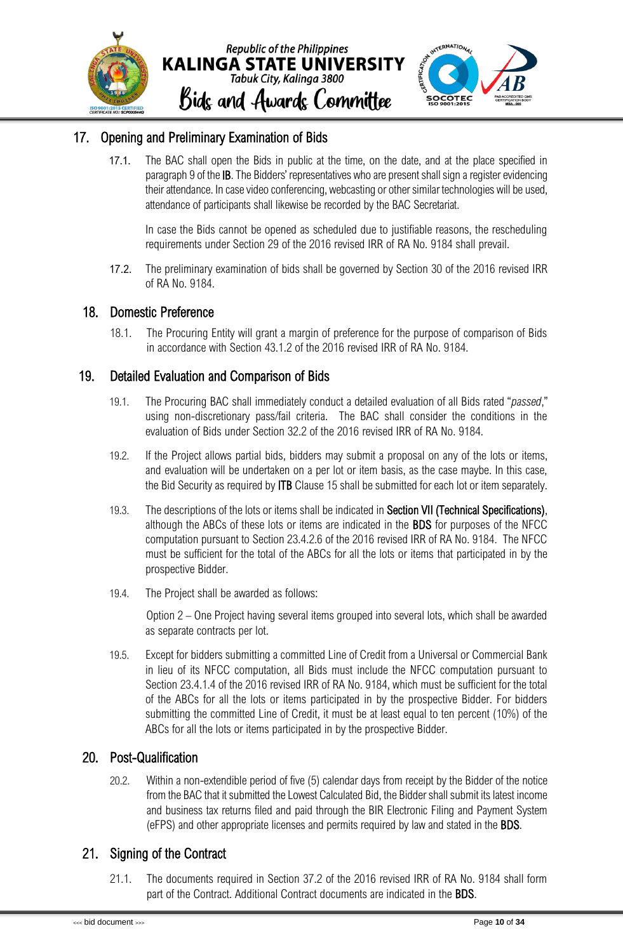

### <span id="page-11-0"></span>17. Opening and Preliminary Examination of Bids

17.1. The BAC shall open the Bids in public at the time, on the date, and at the place specified in paragraph 9 of the IB. The Bidders' representatives who are present shall sign a register evidencing their attendance. In case video conferencing, webcasting or other similar technologies will be used, attendance of participants shall likewise be recorded by the BAC Secretariat.

In case the Bids cannot be opened as scheduled due to justifiable reasons, the rescheduling requirements under Section 29 of the 2016 revised IRR of RA No. 9184 shall prevail.

17.2. The preliminary examination of bids shall be governed by Section 30 of the 2016 revised IRR of RA No. 9184.

### <span id="page-11-1"></span>18. Domestic Preference

18.1. The Procuring Entity will grant a margin of preference for the purpose of comparison of Bids in accordance with Section 43.1.2 of the 2016 revised IRR of RA No. 9184.

### <span id="page-11-2"></span>19. Detailed Evaluation and Comparison of Bids

- 19.1. The Procuring BAC shall immediately conduct a detailed evaluation of all Bids rated "*passed*," using non-discretionary pass/fail criteria. The BAC shall consider the conditions in the evaluation of Bids under Section 32.2 of the 2016 revised IRR of RA No. 9184.
- 19.2. If the Project allows partial bids, bidders may submit a proposal on any of the lots or items, and evaluation will be undertaken on a per lot or item basis, as the case maybe. In this case, the Bid Security as required by ITB Clause 15 shall be submitted for each lot or item separately.
- 19.3. The descriptions of the lots or items shall be indicated in Section VII (Technical Specifications), although the ABCs of these lots or items are indicated in the BDS for purposes of the NFCC computation pursuant to Section 23.4.2.6 of the 2016 revised IRR of RA No. 9184. The NFCC must be sufficient for the total of the ABCs for all the lots or items that participated in by the prospective Bidder.
- 19.4. The Project shall be awarded as follows:

Option 2 – One Project having several items grouped into several lots, which shall be awarded as separate contracts per lot.

19.5. Except for bidders submitting a committed Line of Credit from a Universal or Commercial Bank in lieu of its NFCC computation, all Bids must include the NFCC computation pursuant to Section 23.4.1.4 of the 2016 revised IRR of RA No. 9184, which must be sufficient for the total of the ABCs for all the lots or items participated in by the prospective Bidder. For bidders submitting the committed Line of Credit, it must be at least equal to ten percent (10%) of the ABCs for all the lots or items participated in by the prospective Bidder.

### <span id="page-11-3"></span>20. Post-Qualification

20.2. Within a non-extendible period of five (5) calendar days from receipt by the Bidder of the notice from the BAC that it submitted the Lowest Calculated Bid, the Bidder shall submit its latest income and business tax returns filed and paid through the BIR Electronic Filing and Payment System (eFPS) and other appropriate licenses and permits required by law and stated in the BDS.

### <span id="page-11-4"></span>21. Signing of the Contract

21.1. The documents required in Section 37.2 of the 2016 revised IRR of RA No. 9184 shall form part of the Contract. Additional Contract documents are indicated in the BDS.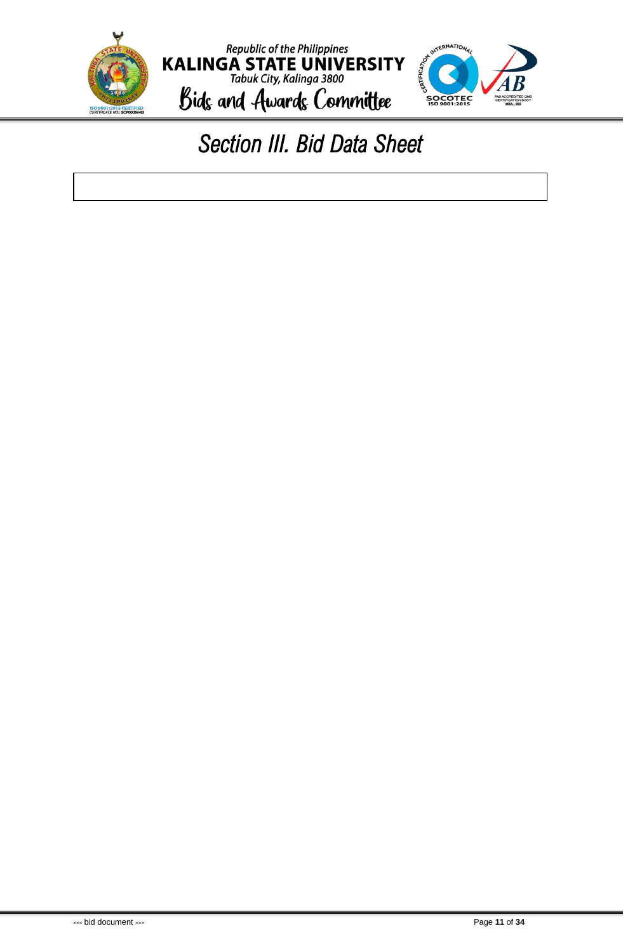<span id="page-12-0"></span>

### *Section III. Bid Data Sheet*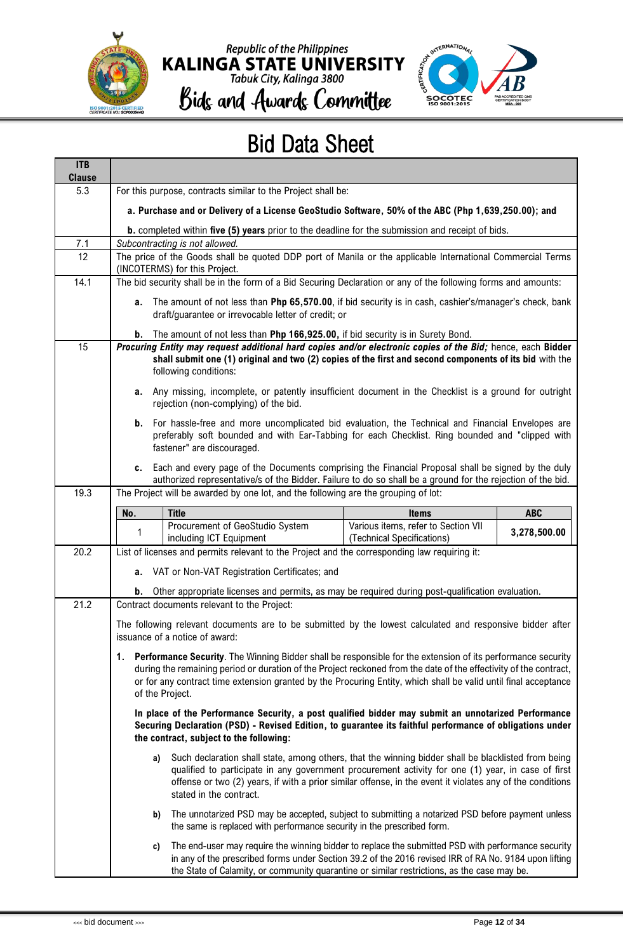

## Republic of the Philippines<br>KALINGA STATE UNIVERSITY<br>Tabuk City, Kalinga 3800



Bids and Awards Committee

### Bid Data Sheet

| <b>ITB</b><br><b>Clause</b> |                                                                                                                                                                                                                                                                                                                                                                           |                                                                                                                                                                                                                                                                                                                                                   |                                                                   |              |  |  |  |  |
|-----------------------------|---------------------------------------------------------------------------------------------------------------------------------------------------------------------------------------------------------------------------------------------------------------------------------------------------------------------------------------------------------------------------|---------------------------------------------------------------------------------------------------------------------------------------------------------------------------------------------------------------------------------------------------------------------------------------------------------------------------------------------------|-------------------------------------------------------------------|--------------|--|--|--|--|
| 5.3                         |                                                                                                                                                                                                                                                                                                                                                                           | For this purpose, contracts similar to the Project shall be:                                                                                                                                                                                                                                                                                      |                                                                   |              |  |  |  |  |
|                             | a. Purchase and or Delivery of a License GeoStudio Software, 50% of the ABC (Php 1,639,250.00); and                                                                                                                                                                                                                                                                       |                                                                                                                                                                                                                                                                                                                                                   |                                                                   |              |  |  |  |  |
|                             | <b>b.</b> completed within five (5) years prior to the deadline for the submission and receipt of bids.                                                                                                                                                                                                                                                                   |                                                                                                                                                                                                                                                                                                                                                   |                                                                   |              |  |  |  |  |
| 7.1<br>12                   |                                                                                                                                                                                                                                                                                                                                                                           | Subcontracting is not allowed.<br>The price of the Goods shall be quoted DDP port of Manila or the applicable International Commercial Terms                                                                                                                                                                                                      |                                                                   |              |  |  |  |  |
|                             |                                                                                                                                                                                                                                                                                                                                                                           | (INCOTERMS) for this Project.                                                                                                                                                                                                                                                                                                                     |                                                                   |              |  |  |  |  |
| 14.1                        |                                                                                                                                                                                                                                                                                                                                                                           | The bid security shall be in the form of a Bid Securing Declaration or any of the following forms and amounts:                                                                                                                                                                                                                                    |                                                                   |              |  |  |  |  |
|                             |                                                                                                                                                                                                                                                                                                                                                                           | a. The amount of not less than Php 65,570.00, if bid security is in cash, cashier's/manager's check, bank<br>draft/guarantee or irrevocable letter of credit; or                                                                                                                                                                                  |                                                                   |              |  |  |  |  |
|                             | b.                                                                                                                                                                                                                                                                                                                                                                        | The amount of not less than Php 166,925.00, if bid security is in Surety Bond.                                                                                                                                                                                                                                                                    |                                                                   |              |  |  |  |  |
| 15                          |                                                                                                                                                                                                                                                                                                                                                                           | Procuring Entity may request additional hard copies and/or electronic copies of the Bid; hence, each Bidder<br>shall submit one (1) original and two (2) copies of the first and second components of its bid with the<br>following conditions:                                                                                                   |                                                                   |              |  |  |  |  |
|                             | a.                                                                                                                                                                                                                                                                                                                                                                        | Any missing, incomplete, or patently insufficient document in the Checklist is a ground for outright<br>rejection (non-complying) of the bid.                                                                                                                                                                                                     |                                                                   |              |  |  |  |  |
|                             | b.                                                                                                                                                                                                                                                                                                                                                                        | For hassle-free and more uncomplicated bid evaluation, the Technical and Financial Envelopes are<br>preferably soft bounded and with Ear-Tabbing for each Checklist. Ring bounded and "clipped with<br>fastener" are discouraged.                                                                                                                 |                                                                   |              |  |  |  |  |
|                             |                                                                                                                                                                                                                                                                                                                                                                           | c. Each and every page of the Documents comprising the Financial Proposal shall be signed by the duly<br>authorized representative/s of the Bidder. Failure to do so shall be a ground for the rejection of the bid.                                                                                                                              |                                                                   |              |  |  |  |  |
| 19.3                        |                                                                                                                                                                                                                                                                                                                                                                           | The Project will be awarded by one lot, and the following are the grouping of lot:                                                                                                                                                                                                                                                                |                                                                   |              |  |  |  |  |
|                             | No.                                                                                                                                                                                                                                                                                                                                                                       | <b>Title</b>                                                                                                                                                                                                                                                                                                                                      | <b>Items</b>                                                      | <b>ABC</b>   |  |  |  |  |
|                             | 1                                                                                                                                                                                                                                                                                                                                                                         | Procurement of GeoStudio System<br>including ICT Equipment                                                                                                                                                                                                                                                                                        | Various items, refer to Section VII<br>(Technical Specifications) | 3,278,500.00 |  |  |  |  |
| 20.2                        |                                                                                                                                                                                                                                                                                                                                                                           | List of licenses and permits relevant to the Project and the corresponding law requiring it:                                                                                                                                                                                                                                                      |                                                                   |              |  |  |  |  |
|                             |                                                                                                                                                                                                                                                                                                                                                                           | a. VAT or Non-VAT Registration Certificates; and                                                                                                                                                                                                                                                                                                  |                                                                   |              |  |  |  |  |
|                             | b.                                                                                                                                                                                                                                                                                                                                                                        | Other appropriate licenses and permits, as may be required during post-qualification evaluation.                                                                                                                                                                                                                                                  |                                                                   |              |  |  |  |  |
| 21.2                        |                                                                                                                                                                                                                                                                                                                                                                           | Contract documents relevant to the Project:                                                                                                                                                                                                                                                                                                       |                                                                   |              |  |  |  |  |
|                             |                                                                                                                                                                                                                                                                                                                                                                           | The following relevant documents are to be submitted by the lowest calculated and responsive bidder after<br>issuance of a notice of award:                                                                                                                                                                                                       |                                                                   |              |  |  |  |  |
|                             | 1. Performance Security. The Winning Bidder shall be responsible for the extension of its performance security<br>during the remaining period or duration of the Project reckoned from the date of the effectivity of the contract,<br>or for any contract time extension granted by the Procuring Entity, which shall be valid until final acceptance<br>of the Project. |                                                                                                                                                                                                                                                                                                                                                   |                                                                   |              |  |  |  |  |
|                             | In place of the Performance Security, a post qualified bidder may submit an unnotarized Performance<br>Securing Declaration (PSD) - Revised Edition, to guarantee its faithful performance of obligations under<br>the contract, subject to the following:                                                                                                                |                                                                                                                                                                                                                                                                                                                                                   |                                                                   |              |  |  |  |  |
|                             |                                                                                                                                                                                                                                                                                                                                                                           |                                                                                                                                                                                                                                                                                                                                                   |                                                                   |              |  |  |  |  |
|                             | a)                                                                                                                                                                                                                                                                                                                                                                        | Such declaration shall state, among others, that the winning bidder shall be blacklisted from being<br>qualified to participate in any government procurement activity for one (1) year, in case of first<br>offense or two (2) years, if with a prior similar offense, in the event it violates any of the conditions<br>stated in the contract. |                                                                   |              |  |  |  |  |
|                             | b)                                                                                                                                                                                                                                                                                                                                                                        | The unnotarized PSD may be accepted, subject to submitting a notarized PSD before payment unless<br>the same is replaced with performance security in the prescribed form.                                                                                                                                                                        |                                                                   |              |  |  |  |  |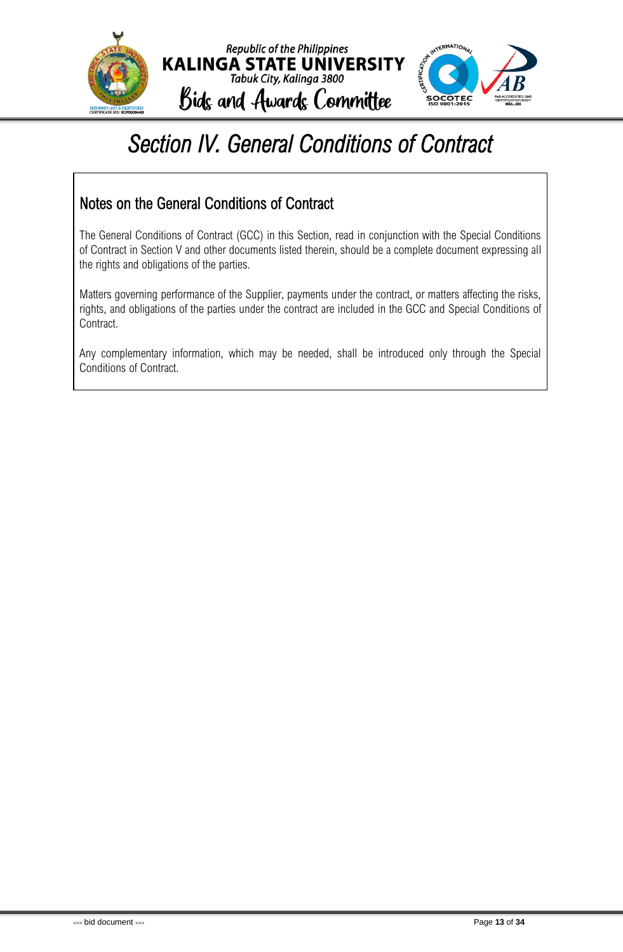

### <span id="page-14-0"></span>*Section IV. General Conditions of Contract*

### Notes on the General Conditions of Contract

The General Conditions of Contract (GCC) in this Section, read in conjunction with the Special Conditions of Contract in Section V and other documents listed therein, should be a complete document expressing all the rights and obligations of the parties.

Matters governing performance of the Supplier, payments under the contract, or matters affecting the risks, rights, and obligations of the parties under the contract are included in the GCC and Special Conditions of Contract.

Any complementary information, which may be needed, shall be introduced only through the Special Conditions of Contract.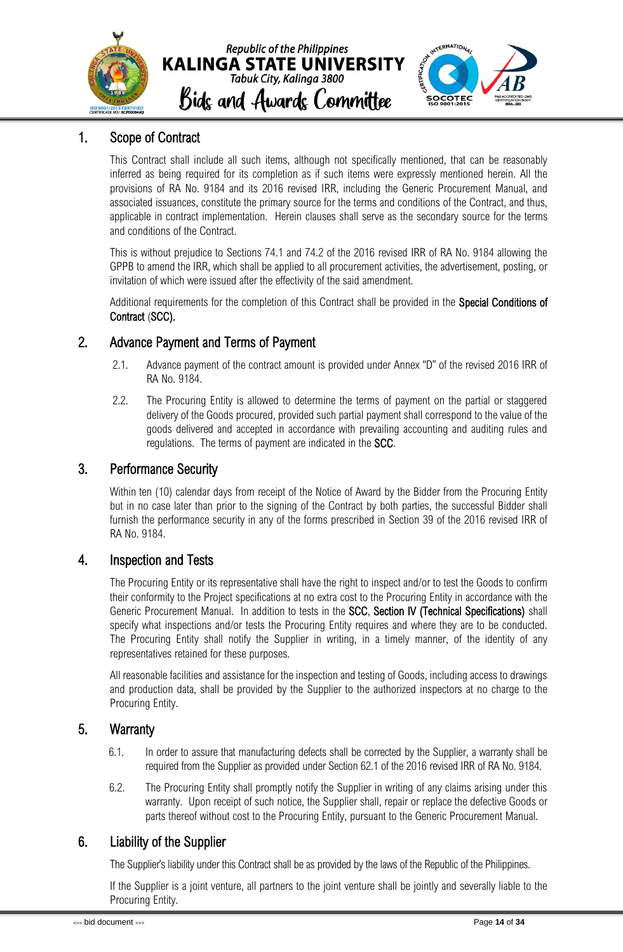

### <span id="page-15-0"></span>1. Scope of Contract

This Contract shall include all such items, although not specifically mentioned, that can be reasonably inferred as being required for its completion as if such items were expressly mentioned herein. All the provisions of RA No. 9184 and its 2016 revised IRR, including the Generic Procurement Manual, and associated issuances, constitute the primary source for the terms and conditions of the Contract, and thus, applicable in contract implementation. Herein clauses shall serve as the secondary source for the terms and conditions of the Contract.

This is without prejudice to Sections 74.1 and 74.2 of the 2016 revised IRR of RA No. 9184 allowing the GPPB to amend the IRR, which shall be applied to all procurement activities, the advertisement, posting, or invitation of which were issued after the effectivity of the said amendment.

Additional requirements for the completion of this Contract shall be provided in the Special Conditions of Contract (SCC).

### <span id="page-15-1"></span>2. Advance Payment and Terms of Payment

- 2.1. Advance payment of the contract amount is provided under Annex "D" of the revised 2016 IRR of RA No. 9184.
- 2.2. The Procuring Entity is allowed to determine the terms of payment on the partial or staggered delivery of the Goods procured, provided such partial payment shall correspond to the value of the goods delivered and accepted in accordance with prevailing accounting and auditing rules and regulations. The terms of payment are indicated in the SCC.

### <span id="page-15-2"></span>3. Performance Security

Within ten (10) calendar days from receipt of the Notice of Award by the Bidder from the Procuring Entity but in no case later than prior to the signing of the Contract by both parties, the successful Bidder shall furnish the performance security in any of the forms prescribed in Section 39 of the 2016 revised IRR of RA No. 9184.

### <span id="page-15-3"></span>4. Inspection and Tests

The Procuring Entity or its representative shall have the right to inspect and/or to test the Goods to confirm their conformity to the Project specifications at no extra cost to the Procuring Entity in accordance with the Generic Procurement Manual. In addition to tests in the SCC, Section IV (Technical Specifications) shall specify what inspections and/or tests the Procuring Entity requires and where they are to be conducted. The Procuring Entity shall notify the Supplier in writing, in a timely manner, of the identity of any representatives retained for these purposes.

All reasonable facilities and assistance for the inspection and testing of Goods, including access to drawings and production data, shall be provided by the Supplier to the authorized inspectors at no charge to the Procuring Entity.

### <span id="page-15-4"></span>5. Warranty

- 6.1. In order to assure that manufacturing defects shall be corrected by the Supplier, a warranty shall be required from the Supplier as provided under Section 62.1 of the 2016 revised IRR of RA No. 9184.
- 6.2. The Procuring Entity shall promptly notify the Supplier in writing of any claims arising under this warranty. Upon receipt of such notice, the Supplier shall, repair or replace the defective Goods or parts thereof without cost to the Procuring Entity, pursuant to the Generic Procurement Manual.

### <span id="page-15-5"></span>6. Liability of the Supplier

The Supplier's liability under this Contract shall be as provided by the laws of the Republic of the Philippines.

If the Supplier is a joint venture, all partners to the joint venture shall be jointly and severally liable to the Procuring Entity.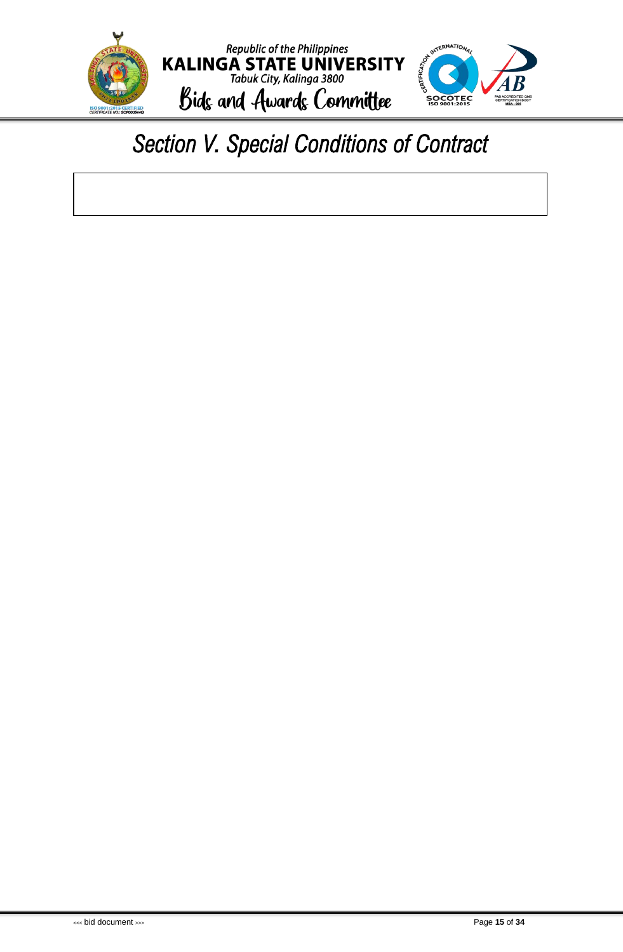

### <span id="page-16-0"></span>*Section V. Special Conditions of Contract*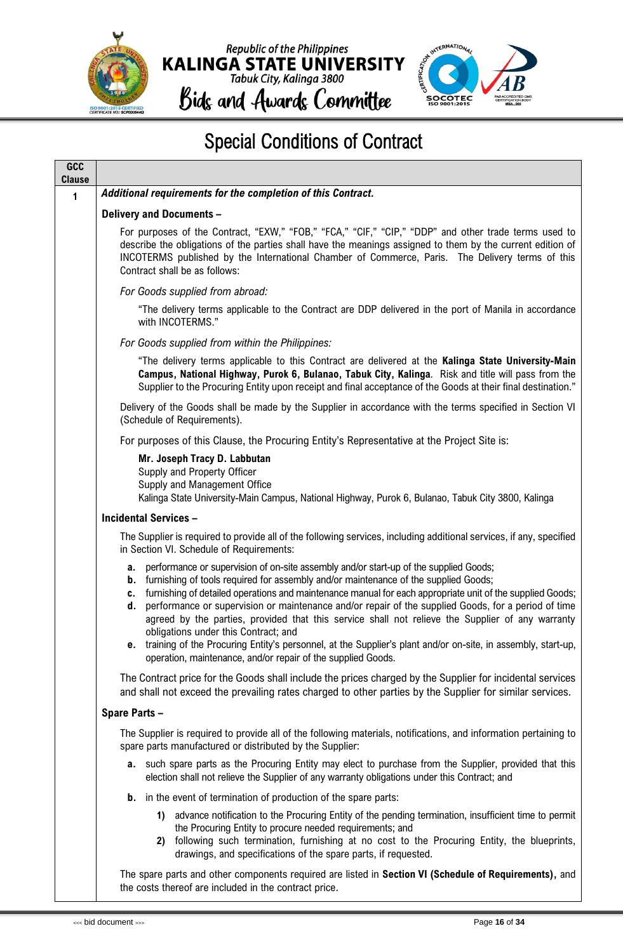



### Special Conditions of Contract

| GCC<br><b>Clause</b> |                                                                                                                                                                                                                                                                                                                                                                                                                                                                                                                                                                      |
|----------------------|----------------------------------------------------------------------------------------------------------------------------------------------------------------------------------------------------------------------------------------------------------------------------------------------------------------------------------------------------------------------------------------------------------------------------------------------------------------------------------------------------------------------------------------------------------------------|
| 1                    | Additional requirements for the completion of this Contract.                                                                                                                                                                                                                                                                                                                                                                                                                                                                                                         |
|                      | <b>Delivery and Documents -</b>                                                                                                                                                                                                                                                                                                                                                                                                                                                                                                                                      |
|                      | For purposes of the Contract, "EXW," "FOB," "FCA," "CIF," "CIP," "DDP" and other trade terms used to<br>describe the obligations of the parties shall have the meanings assigned to them by the current edition of<br>INCOTERMS published by the International Chamber of Commerce, Paris. The Delivery terms of this<br>Contract shall be as follows:                                                                                                                                                                                                               |
|                      | For Goods supplied from abroad:                                                                                                                                                                                                                                                                                                                                                                                                                                                                                                                                      |
|                      | "The delivery terms applicable to the Contract are DDP delivered in the port of Manila in accordance<br>with INCOTERMS."                                                                                                                                                                                                                                                                                                                                                                                                                                             |
|                      | For Goods supplied from within the Philippines:                                                                                                                                                                                                                                                                                                                                                                                                                                                                                                                      |
|                      | "The delivery terms applicable to this Contract are delivered at the Kalinga State University-Main<br>Campus, National Highway, Purok 6, Bulanao, Tabuk City, Kalinga. Risk and title will pass from the<br>Supplier to the Procuring Entity upon receipt and final acceptance of the Goods at their final destination."                                                                                                                                                                                                                                             |
|                      | Delivery of the Goods shall be made by the Supplier in accordance with the terms specified in Section VI<br>(Schedule of Requirements).                                                                                                                                                                                                                                                                                                                                                                                                                              |
|                      | For purposes of this Clause, the Procuring Entity's Representative at the Project Site is:                                                                                                                                                                                                                                                                                                                                                                                                                                                                           |
|                      | Mr. Joseph Tracy D. Labbutan<br>Supply and Property Officer<br>Supply and Management Office<br>Kalinga State University-Main Campus, National Highway, Purok 6, Bulanao, Tabuk City 3800, Kalinga                                                                                                                                                                                                                                                                                                                                                                    |
|                      | <b>Incidental Services -</b>                                                                                                                                                                                                                                                                                                                                                                                                                                                                                                                                         |
|                      | The Supplier is required to provide all of the following services, including additional services, if any, specified<br>in Section VI. Schedule of Requirements:                                                                                                                                                                                                                                                                                                                                                                                                      |
|                      | performance or supervision of on-site assembly and/or start-up of the supplied Goods;<br>а.<br>furnishing of tools required for assembly and/or maintenance of the supplied Goods;<br>b.<br>furnishing of detailed operations and maintenance manual for each appropriate unit of the supplied Goods;<br>c.<br>performance or supervision or maintenance and/or repair of the supplied Goods, for a period of time<br>d.<br>agreed by the parties, provided that this service shall not relieve the Supplier of any warranty<br>obligations under this Contract; and |
|                      | e. training of the Procuring Entity's personnel, at the Supplier's plant and/or on-site, in assembly, start-up,<br>operation, maintenance, and/or repair of the supplied Goods.                                                                                                                                                                                                                                                                                                                                                                                      |
|                      | The Contract price for the Goods shall include the prices charged by the Supplier for incidental services<br>and shall not exceed the prevailing rates charged to other parties by the Supplier for similar services.                                                                                                                                                                                                                                                                                                                                                |
|                      | Spare Parts -                                                                                                                                                                                                                                                                                                                                                                                                                                                                                                                                                        |
|                      | The Supplier is required to provide all of the following materials, notifications, and information pertaining to<br>spare parts manufactured or distributed by the Supplier:                                                                                                                                                                                                                                                                                                                                                                                         |
|                      | a. such spare parts as the Procuring Entity may elect to purchase from the Supplier, provided that this<br>election shall not relieve the Supplier of any warranty obligations under this Contract; and                                                                                                                                                                                                                                                                                                                                                              |
|                      | <b>b.</b> in the event of termination of production of the spare parts:                                                                                                                                                                                                                                                                                                                                                                                                                                                                                              |
|                      | 1) advance notification to the Procuring Entity of the pending termination, insufficient time to permit<br>the Procuring Entity to procure needed requirements; and<br>following such termination, furnishing at no cost to the Procuring Entity, the blueprints,<br>2)<br>drawings, and specifications of the spare parts, if requested.                                                                                                                                                                                                                            |
|                      | The spare parts and other components required are listed in Section VI (Schedule of Requirements), and<br>the costs thereof are included in the contract price.                                                                                                                                                                                                                                                                                                                                                                                                      |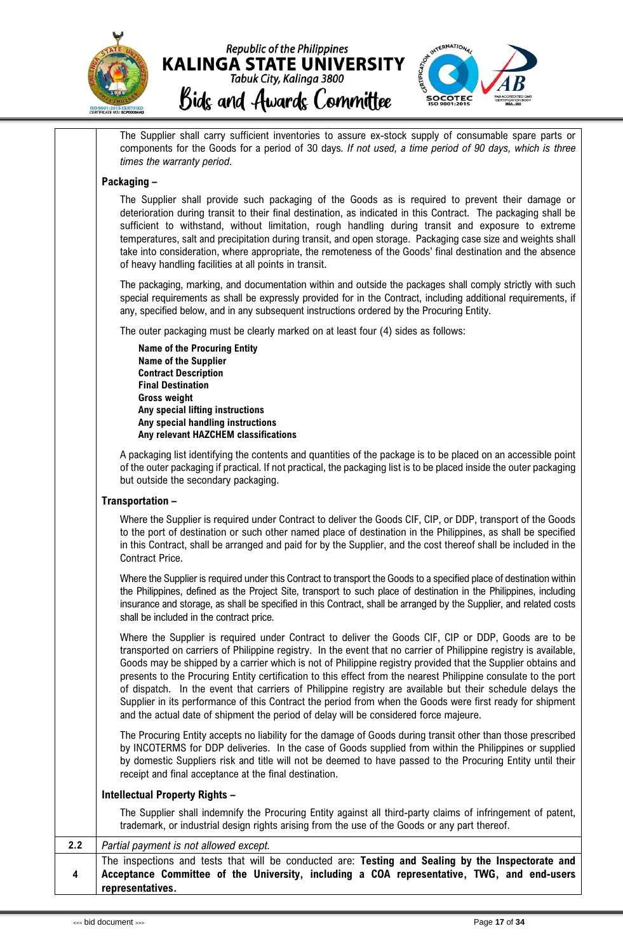



The Supplier shall carry sufficient inventories to assure ex-stock supply of consumable spare parts or components for the Goods for a period of 30 days*. If not used, a time period of 90 days, which is three times the warranty period*.

#### **Packaging –**

The Supplier shall provide such packaging of the Goods as is required to prevent their damage or deterioration during transit to their final destination, as indicated in this Contract. The packaging shall be sufficient to withstand, without limitation, rough handling during transit and exposure to extreme temperatures, salt and precipitation during transit, and open storage. Packaging case size and weights shall take into consideration, where appropriate, the remoteness of the Goods' final destination and the absence of heavy handling facilities at all points in transit.

The packaging, marking, and documentation within and outside the packages shall comply strictly with such special requirements as shall be expressly provided for in the Contract, including additional requirements, if any, specified below, and in any subsequent instructions ordered by the Procuring Entity.

The outer packaging must be clearly marked on at least four (4) sides as follows:

**Name of the Procuring Entity Name of the Supplier Contract Description Final Destination Gross weight Any special lifting instructions Any special handling instructions Any relevant HAZCHEM classifications**

A packaging list identifying the contents and quantities of the package is to be placed on an accessible point of the outer packaging if practical. If not practical, the packaging list is to be placed inside the outer packaging but outside the secondary packaging.

#### **Transportation –**

Where the Supplier is required under Contract to deliver the Goods CIF, CIP, or DDP, transport of the Goods to the port of destination or such other named place of destination in the Philippines, as shall be specified in this Contract, shall be arranged and paid for by the Supplier, and the cost thereof shall be included in the Contract Price.

Where the Supplier is required under this Contract to transport the Goods to a specified place of destination within the Philippines, defined as the Project Site, transport to such place of destination in the Philippines, including insurance and storage, as shall be specified in this Contract, shall be arranged by the Supplier, and related costs shall be included in the contract price.

Where the Supplier is required under Contract to deliver the Goods CIF, CIP or DDP, Goods are to be transported on carriers of Philippine registry. In the event that no carrier of Philippine registry is available, Goods may be shipped by a carrier which is not of Philippine registry provided that the Supplier obtains and presents to the Procuring Entity certification to this effect from the nearest Philippine consulate to the port of dispatch. In the event that carriers of Philippine registry are available but their schedule delays the Supplier in its performance of this Contract the period from when the Goods were first ready for shipment and the actual date of shipment the period of delay will be considered force majeure.

The Procuring Entity accepts no liability for the damage of Goods during transit other than those prescribed by INCOTERMS for DDP deliveries. In the case of Goods supplied from within the Philippines or supplied by domestic Suppliers risk and title will not be deemed to have passed to the Procuring Entity until their receipt and final acceptance at the final destination.

#### **Intellectual Property Rights –**

The Supplier shall indemnify the Procuring Entity against all third-party claims of infringement of patent, trademark, or industrial design rights arising from the use of the Goods or any part thereof.

#### **2.2** *Partial payment is not allowed except.*

**4** The inspections and tests that will be conducted are: **Testing and Sealing by the Inspectorate and Acceptance Committee of the University, including a COA representative, TWG, and end-users representatives.**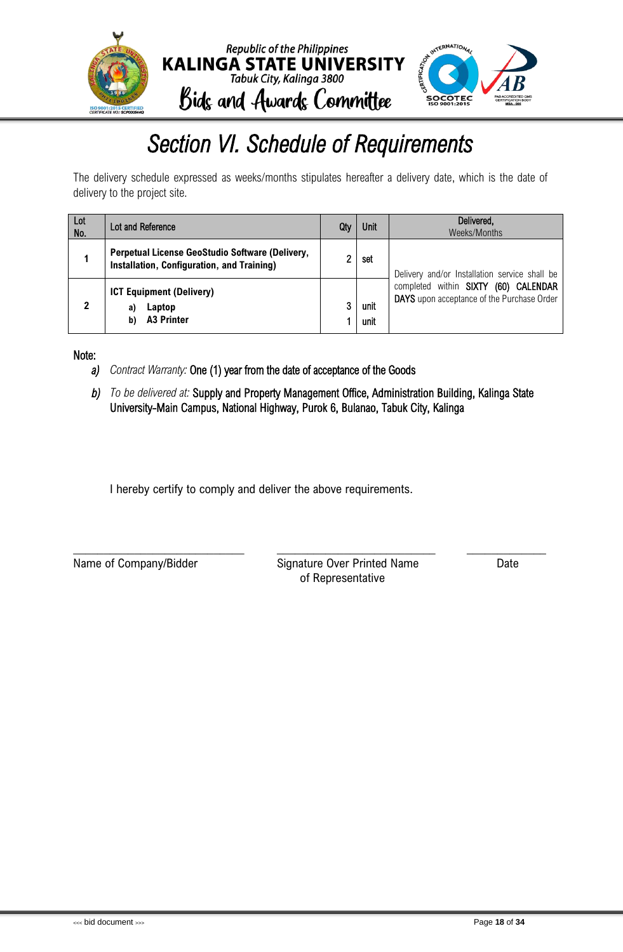

### *Section VI. Schedule of Requirements*

<span id="page-19-0"></span>The delivery schedule expressed as weeks/months stipulates hereafter a delivery date, which is the date of delivery to the project site.

| Lot<br>No. | Lot and Reference                                                                             | Qty | Unit         | Delivered,<br>Weeks/Months                                                         |
|------------|-----------------------------------------------------------------------------------------------|-----|--------------|------------------------------------------------------------------------------------|
|            | Perpetual License GeoStudio Software (Delivery,<br>Installation, Configuration, and Training) | ົ   | set          | Delivery and/or Installation service shall be                                      |
|            | <b>ICT Equipment (Delivery)</b><br>Laptop<br>a)<br><b>A3 Printer</b><br>b)                    | 3   | unit<br>unit | completed within SIXTY (60) CALENDAR<br>DAYS upon acceptance of the Purchase Order |

Note:

- *a) Contract Warranty:* One (1) year from the date of acceptance of the Goods
- *b) To be delivered at:* Supply and Property Management Office, Administration Building, Kalinga State University-Main Campus, National Highway, Purok 6, Bulanao, Tabuk City, Kalinga

\_\_\_\_\_\_\_\_\_\_\_\_\_\_\_\_\_\_\_\_\_\_\_\_\_\_\_\_ \_\_\_\_\_\_\_\_\_\_\_\_\_\_\_\_\_\_\_\_\_\_\_\_\_\_ \_\_\_\_\_\_\_\_\_\_\_\_\_

I hereby certify to comply and deliver the above requirements.

Name of Company/Bidder Signature Over Printed Name Date of Representative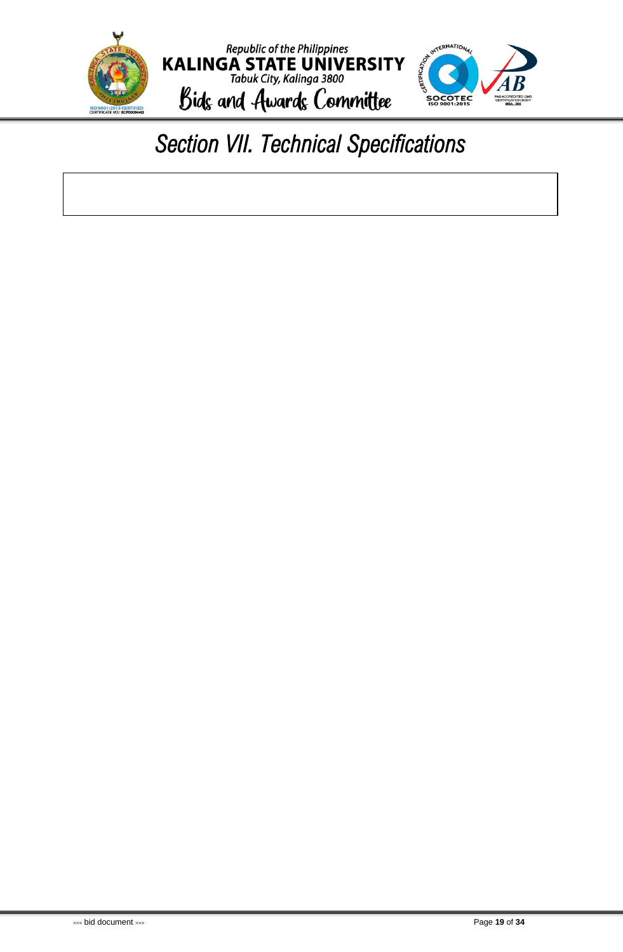

### <span id="page-20-0"></span>*Section VII. Technical Specifications*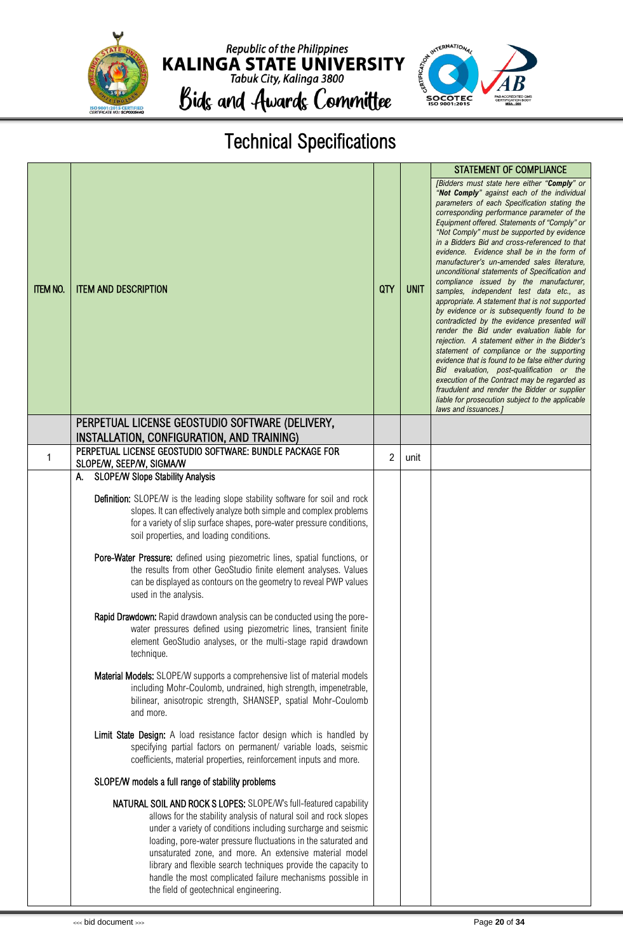

Republic of the Philippines<br> **KALINGA STATE UNIVERSITY**<br>
Tabuk City, Kalinga 3800 Bids and Awards Committee



Technical Specifications

|                 |                                                                                                                                                                                                                                                                                                                                                                                                                                                                                                                |     |             | <b>STATEMENT OF COMPLIANCE</b>                                                                                                                                                                                                                                                                                                                                                                                                                                                                                                                                                                                                                                                                                                                                                                                                                                                                                                                                                                                                                                                                                                                     |
|-----------------|----------------------------------------------------------------------------------------------------------------------------------------------------------------------------------------------------------------------------------------------------------------------------------------------------------------------------------------------------------------------------------------------------------------------------------------------------------------------------------------------------------------|-----|-------------|----------------------------------------------------------------------------------------------------------------------------------------------------------------------------------------------------------------------------------------------------------------------------------------------------------------------------------------------------------------------------------------------------------------------------------------------------------------------------------------------------------------------------------------------------------------------------------------------------------------------------------------------------------------------------------------------------------------------------------------------------------------------------------------------------------------------------------------------------------------------------------------------------------------------------------------------------------------------------------------------------------------------------------------------------------------------------------------------------------------------------------------------------|
| <b>ITEM NO.</b> | <b>ITEM AND DESCRIPTION</b>                                                                                                                                                                                                                                                                                                                                                                                                                                                                                    | QTY | <b>UNIT</b> | [Bidders must state here either "Comply" or<br>"Not Comply" against each of the individual<br>parameters of each Specification stating the<br>corresponding performance parameter of the<br>Equipment offered. Statements of "Comply" or<br>"Not Comply" must be supported by evidence<br>in a Bidders Bid and cross-referenced to that<br>evidence. Evidence shall be in the form of<br>manufacturer's un-amended sales literature,<br>unconditional statements of Specification and<br>compliance issued by the manufacturer,<br>samples, independent test data etc., as<br>appropriate. A statement that is not supported<br>by evidence or is subsequently found to be<br>contradicted by the evidence presented will<br>render the Bid under evaluation liable for<br>rejection. A statement either in the Bidder's<br>statement of compliance or the supporting<br>evidence that is found to be false either during<br>Bid evaluation, post-qualification or the<br>execution of the Contract may be regarded as<br>fraudulent and render the Bidder or supplier<br>liable for prosecution subject to the applicable<br>laws and issuances.] |
|                 | PERPETUAL LICENSE GEOSTUDIO SOFTWARE (DELIVERY,<br>INSTALLATION, CONFIGURATION, AND TRAINING)                                                                                                                                                                                                                                                                                                                                                                                                                  |     |             |                                                                                                                                                                                                                                                                                                                                                                                                                                                                                                                                                                                                                                                                                                                                                                                                                                                                                                                                                                                                                                                                                                                                                    |
| 1               | PERPETUAL LICENSE GEOSTUDIO SOFTWARE: BUNDLE PACKAGE FOR<br>SLOPE/W, SEEP/W, SIGMA/W                                                                                                                                                                                                                                                                                                                                                                                                                           | 2   | unit        |                                                                                                                                                                                                                                                                                                                                                                                                                                                                                                                                                                                                                                                                                                                                                                                                                                                                                                                                                                                                                                                                                                                                                    |
|                 | <b>SLOPE/W Slope Stability Analysis</b><br>А.                                                                                                                                                                                                                                                                                                                                                                                                                                                                  |     |             |                                                                                                                                                                                                                                                                                                                                                                                                                                                                                                                                                                                                                                                                                                                                                                                                                                                                                                                                                                                                                                                                                                                                                    |
|                 | <b>Definition:</b> SLOPE/W is the leading slope stability software for soil and rock<br>slopes. It can effectively analyze both simple and complex problems<br>for a variety of slip surface shapes, pore-water pressure conditions,<br>soil properties, and loading conditions.                                                                                                                                                                                                                               |     |             |                                                                                                                                                                                                                                                                                                                                                                                                                                                                                                                                                                                                                                                                                                                                                                                                                                                                                                                                                                                                                                                                                                                                                    |
|                 | Pore-Water Pressure: defined using piezometric lines, spatial functions, or<br>the results from other GeoStudio finite element analyses. Values<br>can be displayed as contours on the geometry to reveal PWP values<br>used in the analysis.                                                                                                                                                                                                                                                                  |     |             |                                                                                                                                                                                                                                                                                                                                                                                                                                                                                                                                                                                                                                                                                                                                                                                                                                                                                                                                                                                                                                                                                                                                                    |
|                 | Rapid Drawdown: Rapid drawdown analysis can be conducted using the pore-<br>water pressures defined using piezometric lines, transient finite<br>element GeoStudio analyses, or the multi-stage rapid drawdown<br>technique.                                                                                                                                                                                                                                                                                   |     |             |                                                                                                                                                                                                                                                                                                                                                                                                                                                                                                                                                                                                                                                                                                                                                                                                                                                                                                                                                                                                                                                                                                                                                    |
|                 | <b>Material Models:</b> SLOPE/W supports a comprehensive list of material models<br>including Mohr-Coulomb, undrained, high strength, impenetrable,<br>bilinear, anisotropic strength, SHANSEP, spatial Mohr-Coulomb<br>and more.                                                                                                                                                                                                                                                                              |     |             |                                                                                                                                                                                                                                                                                                                                                                                                                                                                                                                                                                                                                                                                                                                                                                                                                                                                                                                                                                                                                                                                                                                                                    |
|                 | Limit State Design: A load resistance factor design which is handled by<br>specifying partial factors on permanent/ variable loads, seismic<br>coefficients, material properties, reinforcement inputs and more.                                                                                                                                                                                                                                                                                               |     |             |                                                                                                                                                                                                                                                                                                                                                                                                                                                                                                                                                                                                                                                                                                                                                                                                                                                                                                                                                                                                                                                                                                                                                    |
|                 | SLOPE/W models a full range of stability problems                                                                                                                                                                                                                                                                                                                                                                                                                                                              |     |             |                                                                                                                                                                                                                                                                                                                                                                                                                                                                                                                                                                                                                                                                                                                                                                                                                                                                                                                                                                                                                                                                                                                                                    |
|                 | NATURAL SOIL AND ROCK S LOPES: SLOPE/W's full-featured capability<br>allows for the stability analysis of natural soil and rock slopes<br>under a variety of conditions including surcharge and seismic<br>loading, pore-water pressure fluctuations in the saturated and<br>unsaturated zone, and more. An extensive material model<br>library and flexible search techniques provide the capacity to<br>handle the most complicated failure mechanisms possible in<br>the field of geotechnical engineering. |     |             |                                                                                                                                                                                                                                                                                                                                                                                                                                                                                                                                                                                                                                                                                                                                                                                                                                                                                                                                                                                                                                                                                                                                                    |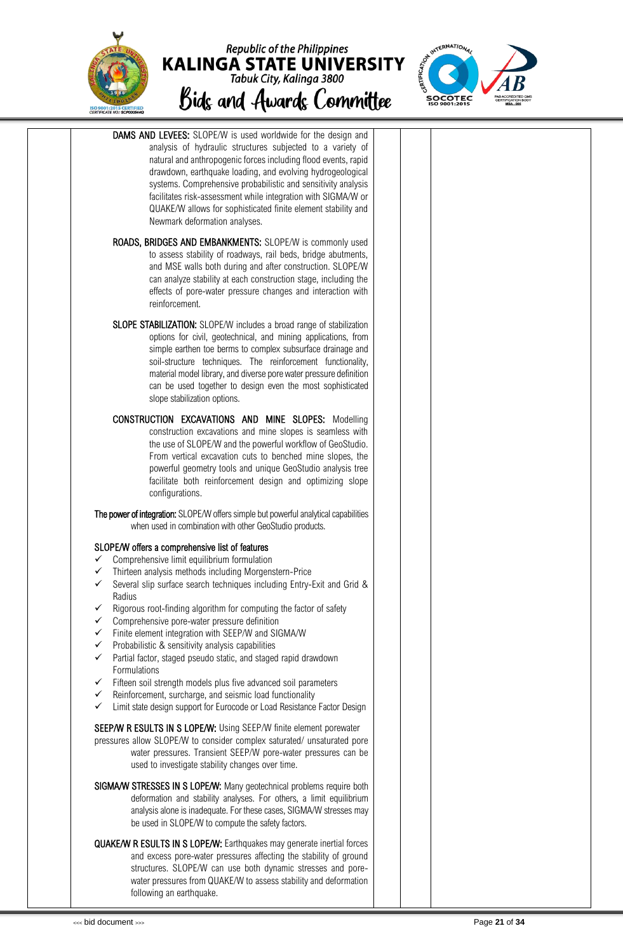





| <b>DAMS AND LEVEES:</b> SLOPE/W is used worldwide for the design and<br>analysis of hydraulic structures subjected to a variety of<br>natural and anthropogenic forces including flood events, rapid<br>drawdown, earthquake loading, and evolving hydrogeological<br>systems. Comprehensive probabilistic and sensitivity analysis<br>facilitates risk-assessment while integration with SIGMA/W or<br>QUAKE/W allows for sophisticated finite element stability and<br>Newmark deformation analyses.                                                                                                                                                                                                                                                                                                                                                            |  |  |
|-------------------------------------------------------------------------------------------------------------------------------------------------------------------------------------------------------------------------------------------------------------------------------------------------------------------------------------------------------------------------------------------------------------------------------------------------------------------------------------------------------------------------------------------------------------------------------------------------------------------------------------------------------------------------------------------------------------------------------------------------------------------------------------------------------------------------------------------------------------------|--|--|
| ROADS, BRIDGES AND EMBANKMENTS: SLOPE/W is commonly used<br>to assess stability of roadways, rail beds, bridge abutments,<br>and MSE walls both during and after construction. SLOPE/W<br>can analyze stability at each construction stage, including the<br>effects of pore-water pressure changes and interaction with<br>reinforcement.                                                                                                                                                                                                                                                                                                                                                                                                                                                                                                                        |  |  |
| <b>SLOPE STABILIZATION:</b> SLOPE/W includes a broad range of stabilization<br>options for civil, geotechnical, and mining applications, from<br>simple earthen toe berms to complex subsurface drainage and<br>soil-structure techniques. The reinforcement functionality,<br>material model library, and diverse pore water pressure definition<br>can be used together to design even the most sophisticated<br>slope stabilization options.                                                                                                                                                                                                                                                                                                                                                                                                                   |  |  |
| CONSTRUCTION EXCAVATIONS AND MINE SLOPES: Modelling<br>construction excavations and mine slopes is seamless with<br>the use of SLOPE/W and the powerful workflow of GeoStudio.<br>From vertical excavation cuts to benched mine slopes, the<br>powerful geometry tools and unique GeoStudio analysis tree<br>facilitate both reinforcement design and optimizing slope<br>configurations.                                                                                                                                                                                                                                                                                                                                                                                                                                                                         |  |  |
| The power of integration: SLOPE/W offers simple but powerful analytical capabilities<br>when used in combination with other GeoStudio products.                                                                                                                                                                                                                                                                                                                                                                                                                                                                                                                                                                                                                                                                                                                   |  |  |
| SLOPE/W offers a comprehensive list of features<br>Comprehensive limit equilibrium formulation<br>Thirteen analysis methods including Morgenstern-Price<br>Several slip surface search techniques including Entry-Exit and Grid &<br>Radius<br>Rigorous root-finding algorithm for computing the factor of safety<br>Comprehensive pore-water pressure definition<br>$\checkmark$<br>$\checkmark$ Finite element integration with SEEP/W and SIGMA/W<br>Probabilistic & sensitivity analysis capabilities<br>$\checkmark$<br>Partial factor, staged pseudo static, and staged rapid drawdown<br>$\checkmark$<br>Formulations<br>Fifteen soil strength models plus five advanced soil parameters<br>✓<br>Reinforcement, surcharge, and seismic load functionality<br>$\checkmark$<br>Limit state design support for Eurocode or Load Resistance Factor Design<br>✓ |  |  |
| SEEP/W R ESULTS IN S LOPE/W: Using SEEP/W finite element porewater<br>pressures allow SLOPE/W to consider complex saturated/ unsaturated pore<br>water pressures. Transient SEEP/W pore-water pressures can be<br>used to investigate stability changes over time.                                                                                                                                                                                                                                                                                                                                                                                                                                                                                                                                                                                                |  |  |
| SIGMA/W STRESSES IN S LOPE/W: Many geotechnical problems require both<br>deformation and stability analyses. For others, a limit equilibrium<br>analysis alone is inadequate. For these cases, SIGMA/W stresses may<br>be used in SLOPE/W to compute the safety factors.                                                                                                                                                                                                                                                                                                                                                                                                                                                                                                                                                                                          |  |  |
| <b>QUAKE/W R ESULTS IN S LOPE/W:</b> Earthquakes may generate inertial forces<br>and excess pore-water pressures affecting the stability of ground<br>structures. SLOPE/W can use both dynamic stresses and pore-<br>water pressures from QUAKE/W to assess stability and deformation<br>following an earthquake.                                                                                                                                                                                                                                                                                                                                                                                                                                                                                                                                                 |  |  |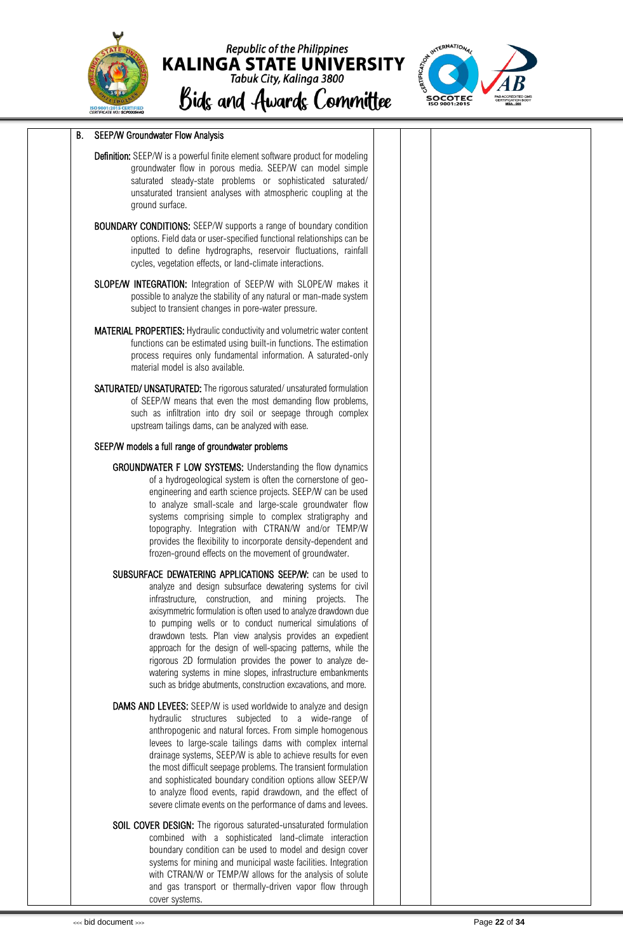





#### B. SEEP/W Groundwater Flow Analysis

- Definition: SEEP/W is a powerful finite element software product for modeling groundwater flow in porous media. SEEP/W can model simple saturated steady-state problems or sophisticated saturated/ unsaturated transient analyses with atmospheric coupling at the ground surface.
- BOUNDARY CONDITIONS: SEEP/W supports a range of boundary condition options. Field data or user-specified functional relationships can be inputted to define hydrographs, reservoir fluctuations, rainfall cycles, vegetation effects, or land-climate interactions.
- SLOPE/W INTEGRATION: Integration of SEEP/W with SLOPE/W makes it possible to analyze the stability of any natural or man-made system subject to transient changes in pore-water pressure.
- MATERIAL PROPERTIES: Hydraulic conductivity and volumetric water content functions can be estimated using built-in functions. The estimation process requires only fundamental information. A saturated-only material model is also available.
- SATURATED/ UNSATURATED: The rigorous saturated/ unsaturated formulation of SEEP/W means that even the most demanding flow problems, such as infiltration into dry soil or seepage through complex upstream tailings dams, can be analyzed with ease.

#### SEEP/W models a full range of groundwater problems

- GROUNDWATER F LOW SYSTEMS: Understanding the flow dynamics of a hydrogeological system is often the cornerstone of geoengineering and earth science projects. SEEP/W can be used to analyze small-scale and large-scale groundwater flow systems comprising simple to complex stratigraphy and topography. Integration with CTRAN/W and/or TEMP/W provides the flexibility to incorporate density-dependent and frozen-ground effects on the movement of groundwater.
- SUBSURFACE DEWATERING APPLICATIONS SEEP/W: can be used to analyze and design subsurface dewatering systems for civil infrastructure, construction, and mining projects. The axisymmetric formulation is often used to analyze drawdown due to pumping wells or to conduct numerical simulations of drawdown tests. Plan view analysis provides an expedient approach for the design of well-spacing patterns, while the rigorous 2D formulation provides the power to analyze dewatering systems in mine slopes, infrastructure embankments such as bridge abutments, construction excavations, and more.
- DAMS AND LEVEES: SEEP/W is used worldwide to analyze and design hydraulic structures subjected to a wide-range of anthropogenic and natural forces. From simple homogenous levees to large-scale tailings dams with complex internal drainage systems, SEEP/W is able to achieve results for even the most difficult seepage problems. The transient formulation and sophisticated boundary condition options allow SEEP/W to analyze flood events, rapid drawdown, and the effect of severe climate events on the performance of dams and levees.
- SOIL COVER DESIGN: The rigorous saturated-unsaturated formulation combined with a sophisticated land-climate interaction boundary condition can be used to model and design cover systems for mining and municipal waste facilities. Integration with CTRAN/W or TEMP/W allows for the analysis of solute and gas transport or thermally-driven vapor flow through cover systems.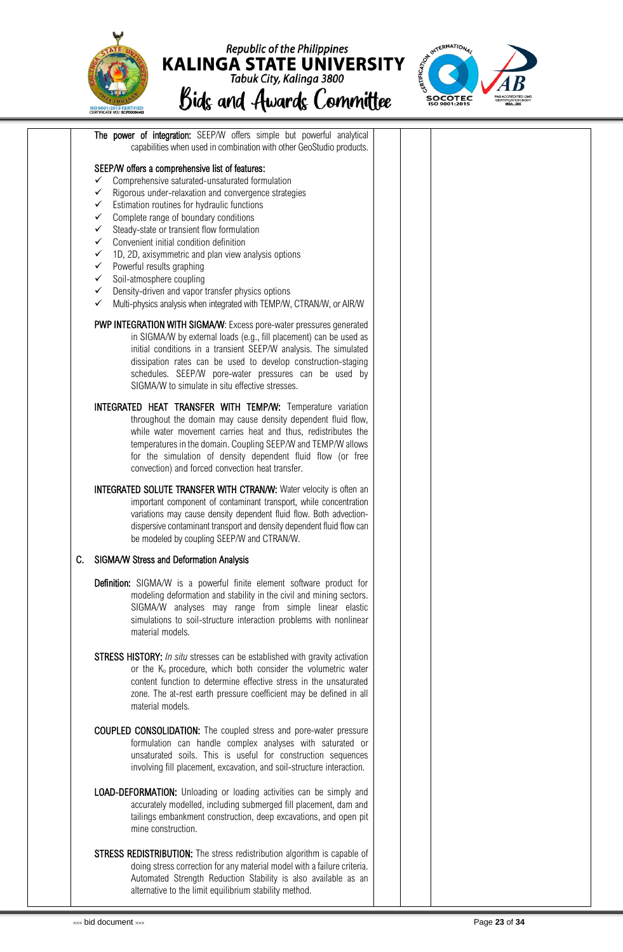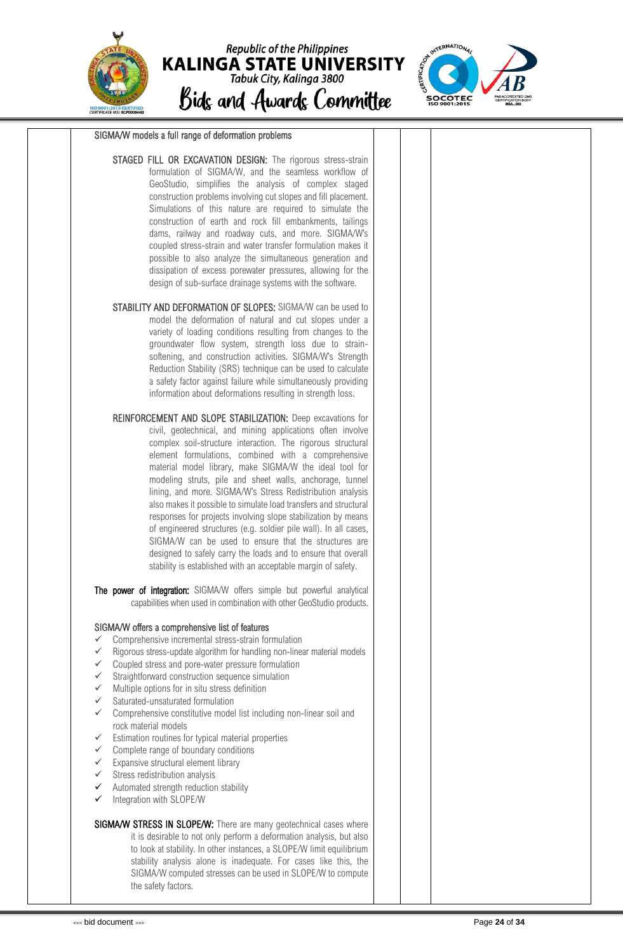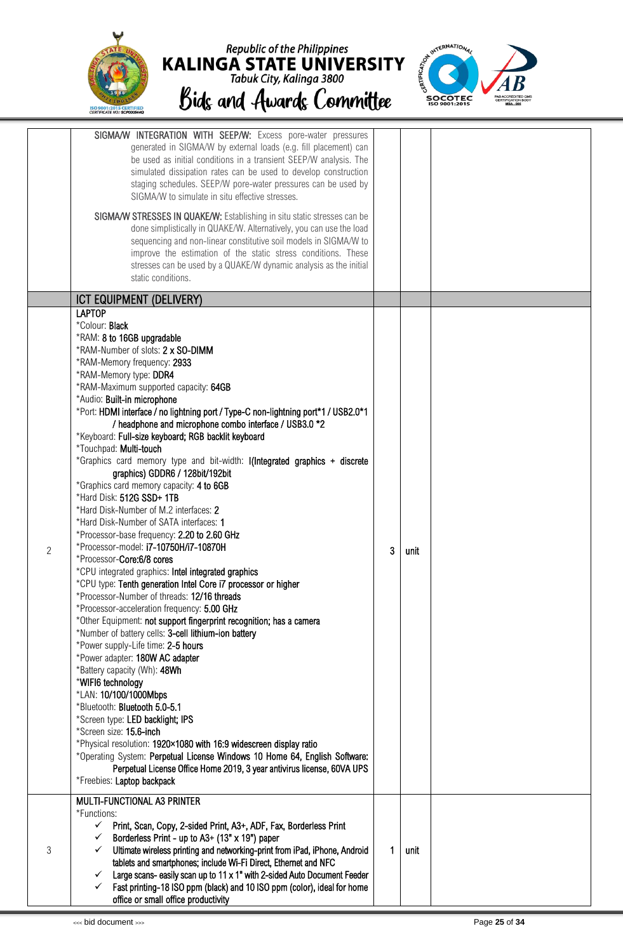





|                | SIGMA/W INTEGRATION WITH SEEP/W: Excess pore-water pressures<br>generated in SIGMA/W by external loads (e.g. fill placement) can<br>be used as initial conditions in a transient SEEP/W analysis. The<br>simulated dissipation rates can be used to develop construction<br>staging schedules. SEEP/W pore-water pressures can be used by<br>SIGMA/W to simulate in situ effective stresses.                                                                                                                                                                                                                                                                                                                                                                                                                                                                                                                                                                                                                                                                                                                                                                                                                                                                                                                                                                                                                                                                                                                                                                                                                                                                                                      |   |      |  |
|----------------|---------------------------------------------------------------------------------------------------------------------------------------------------------------------------------------------------------------------------------------------------------------------------------------------------------------------------------------------------------------------------------------------------------------------------------------------------------------------------------------------------------------------------------------------------------------------------------------------------------------------------------------------------------------------------------------------------------------------------------------------------------------------------------------------------------------------------------------------------------------------------------------------------------------------------------------------------------------------------------------------------------------------------------------------------------------------------------------------------------------------------------------------------------------------------------------------------------------------------------------------------------------------------------------------------------------------------------------------------------------------------------------------------------------------------------------------------------------------------------------------------------------------------------------------------------------------------------------------------------------------------------------------------------------------------------------------------|---|------|--|
|                | SIGMA/W STRESSES IN QUAKE/W: Establishing in situ static stresses can be<br>done simplistically in QUAKE/W. Alternatively, you can use the load<br>sequencing and non-linear constitutive soil models in SIGMA/W to<br>improve the estimation of the static stress conditions. These<br>stresses can be used by a QUAKE/W dynamic analysis as the initial<br>static conditions.                                                                                                                                                                                                                                                                                                                                                                                                                                                                                                                                                                                                                                                                                                                                                                                                                                                                                                                                                                                                                                                                                                                                                                                                                                                                                                                   |   |      |  |
|                | ICT EQUIPMENT (DELIVERY)                                                                                                                                                                                                                                                                                                                                                                                                                                                                                                                                                                                                                                                                                                                                                                                                                                                                                                                                                                                                                                                                                                                                                                                                                                                                                                                                                                                                                                                                                                                                                                                                                                                                          |   |      |  |
|                | <b>LAPTOP</b>                                                                                                                                                                                                                                                                                                                                                                                                                                                                                                                                                                                                                                                                                                                                                                                                                                                                                                                                                                                                                                                                                                                                                                                                                                                                                                                                                                                                                                                                                                                                                                                                                                                                                     |   |      |  |
| $\overline{2}$ | *Colour: Black<br>*RAM: 8 to 16GB upgradable<br>*RAM-Number of slots: 2 x SO-DIMM<br>*RAM-Memory frequency: 2933<br>*RAM-Memory type: DDR4<br>*RAM-Maximum supported capacity: 64GB<br>*Audio: Built-in microphone<br>*Port: HDMI interface / no lightning port / Type-C non-lightning port*1 / USB2.0*1<br>/ headphone and microphone combo interface / USB3.0 *2<br>*Keyboard: Full-size keyboard; RGB backlit keyboard<br>*Touchpad: Multi-touch<br>*Graphics card memory type and bit-width: I(Integrated graphics + discrete<br>graphics) GDDR6 / 128bit/192bit<br>*Graphics card memory capacity: 4 to 6GB<br>*Hard Disk: 512G SSD+ 1TB<br>*Hard Disk-Number of M.2 interfaces: 2<br>*Hard Disk-Number of SATA interfaces: 1<br>*Processor-base frequency: 2.20 to 2.60 GHz<br>*Processor-model: i7-10750H/i7-10870H<br>*Processor-Core:6/8 cores<br>*CPU integrated graphics: Intel integrated graphics<br>*CPU type: Tenth generation Intel Core i7 processor or higher<br>*Processor-Number of threads: 12/16 threads<br>*Processor-acceleration frequency: 5.00 GHz<br>*Other Equipment: not support fingerprint recognition; has a camera<br>*Number of battery cells: 3-cell lithium-ion battery<br>*Power supply-Life time: 2-5 hours<br>*Power adapter: 180W AC adapter<br>*Battery capacity (Wh): 48Wh<br>*WIFI6 technology<br>*LAN: 10/100/1000Mbps<br>*Bluetooth: Bluetooth 5.0-5.1<br>*Screen type: LED backlight; IPS<br>*Screen size: 15.6-inch<br>*Physical resolution: 1920×1080 with 16:9 widescreen display ratio<br>*Operating System: Perpetual License Windows 10 Home 64, English Software:<br>Perpetual License Office Home 2019, 3 year antivirus license, 60VA UPS | 3 | unit |  |
| 3              | *Freebies: Laptop backpack<br>MULTI-FUNCTIONAL A3 PRINTER<br>*Functions:<br>Print, Scan, Copy, 2-sided Print, A3+, ADF, Fax, Borderless Print<br>✓<br>Borderless Print - up to A3+ (13" x 19") paper<br>✓<br>Ultimate wireless printing and networking-print from iPad, iPhone, Android<br>✓<br>tablets and smartphones; include Wi-Fi Direct, Ethernet and NFC<br>Large scans- easily scan up to 11 x 1" with 2-sided Auto Document Feeder<br>✓<br>Fast printing-18 ISO ppm (black) and 10 ISO ppm (color), ideal for home<br>✓<br>office or small office productivity                                                                                                                                                                                                                                                                                                                                                                                                                                                                                                                                                                                                                                                                                                                                                                                                                                                                                                                                                                                                                                                                                                                           | 1 | unit |  |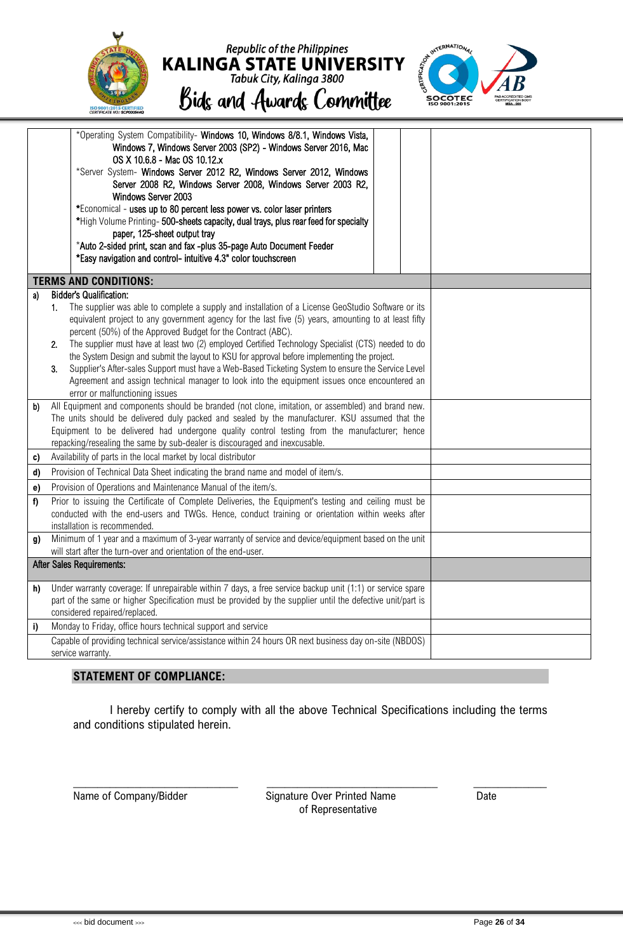| ISO 9001:2015 CERTIFIED<br>CERTIFICATE NO.: SCP000544Q | <b>Republic of the Philippines</b><br><b>KALINGA STATE UNIVERSITY</b><br>Tabuk City, Kalinga 3800<br>Bids and Awards Committee | $\mathcal{E}_{\mathcal{S}}$<br><b>SOCOTEC</b><br>ISO 9001:2015 | <b>PAB ACCREDITED QMS</b><br><b>CERTIFICATION BODY</b><br><b>MSA-005</b> |
|--------------------------------------------------------|--------------------------------------------------------------------------------------------------------------------------------|----------------------------------------------------------------|--------------------------------------------------------------------------|
|--------------------------------------------------------|--------------------------------------------------------------------------------------------------------------------------------|----------------------------------------------------------------|--------------------------------------------------------------------------|

|    | *Operating System Compatibility- Windows 10, Windows 8/8.1, Windows Vista,<br>Windows 7, Windows Server 2003 (SP2) - Windows Server 2016, Mac<br>OS X 10.6.8 - Mac OS 10.12.x<br>*Server System- Windows Server 2012 R2, Windows Server 2012, Windows<br>Server 2008 R2, Windows Server 2008, Windows Server 2003 R2,<br>Windows Server 2003<br>*Economical - uses up to 80 percent less power vs. color laser printers<br>*High Volume Printing- 500-sheets capacity, dual trays, plus rear feed for specialty<br>paper, 125-sheet output tray<br>*Auto 2-sided print, scan and fax -plus 35-page Auto Document Feeder<br>*Easy navigation and control- intuitive 4.3" color touchscreen                                                                                                |  |  |
|----|------------------------------------------------------------------------------------------------------------------------------------------------------------------------------------------------------------------------------------------------------------------------------------------------------------------------------------------------------------------------------------------------------------------------------------------------------------------------------------------------------------------------------------------------------------------------------------------------------------------------------------------------------------------------------------------------------------------------------------------------------------------------------------------|--|--|
|    | <b>TERMS AND CONDITIONS:</b>                                                                                                                                                                                                                                                                                                                                                                                                                                                                                                                                                                                                                                                                                                                                                             |  |  |
| a) | <b>Bidder's Qualification:</b><br>The supplier was able to complete a supply and installation of a License GeoStudio Software or its<br>1.<br>equivalent project to any government agency for the last five (5) years, amounting to at least fifty<br>percent (50%) of the Approved Budget for the Contract (ABC).<br>The supplier must have at least two (2) employed Certified Technology Specialist (CTS) needed to do<br>2 <sub>1</sub><br>the System Design and submit the layout to KSU for approval before implementing the project.<br>Supplier's After-sales Support must have a Web-Based Ticketing System to ensure the Service Level<br>3.<br>Agreement and assign technical manager to look into the equipment issues once encountered an<br>error or malfunctioning issues |  |  |
| b) | All Equipment and components should be branded (not clone, imitation, or assembled) and brand new.<br>The units should be delivered duly packed and sealed by the manufacturer. KSU assumed that the<br>Equipment to be delivered had undergone quality control testing from the manufacturer; hence<br>repacking/resealing the same by sub-dealer is discouraged and inexcusable.                                                                                                                                                                                                                                                                                                                                                                                                       |  |  |
| c) | Availability of parts in the local market by local distributor                                                                                                                                                                                                                                                                                                                                                                                                                                                                                                                                                                                                                                                                                                                           |  |  |
| d) | Provision of Technical Data Sheet indicating the brand name and model of item/s.                                                                                                                                                                                                                                                                                                                                                                                                                                                                                                                                                                                                                                                                                                         |  |  |
| e) | Provision of Operations and Maintenance Manual of the item/s.                                                                                                                                                                                                                                                                                                                                                                                                                                                                                                                                                                                                                                                                                                                            |  |  |
| f) | Prior to issuing the Certificate of Complete Deliveries, the Equipment's testing and ceiling must be<br>conducted with the end-users and TWGs. Hence, conduct training or orientation within weeks after<br>installation is recommended.                                                                                                                                                                                                                                                                                                                                                                                                                                                                                                                                                 |  |  |
| g) | Minimum of 1 year and a maximum of 3-year warranty of service and device/equipment based on the unit<br>will start after the turn-over and orientation of the end-user.                                                                                                                                                                                                                                                                                                                                                                                                                                                                                                                                                                                                                  |  |  |
|    | <b>After Sales Requirements:</b>                                                                                                                                                                                                                                                                                                                                                                                                                                                                                                                                                                                                                                                                                                                                                         |  |  |
| h) | Under warranty coverage: If unrepairable within 7 days, a free service backup unit (1:1) or service spare<br>part of the same or higher Specification must be provided by the supplier until the defective unit/part is<br>considered repaired/replaced.                                                                                                                                                                                                                                                                                                                                                                                                                                                                                                                                 |  |  |
| i) | Monday to Friday, office hours technical support and service                                                                                                                                                                                                                                                                                                                                                                                                                                                                                                                                                                                                                                                                                                                             |  |  |
|    | Capable of providing technical service/assistance within 24 hours OR next business day on-site (NBDOS)<br>service warranty.                                                                                                                                                                                                                                                                                                                                                                                                                                                                                                                                                                                                                                                              |  |  |

#### **STATEMENT OF COMPLIANCE:**

I hereby certify to comply with all the above Technical Specifications including the terms and conditions stipulated herein.

\_\_\_\_\_\_\_\_\_\_\_\_\_\_\_\_\_\_\_\_\_\_\_\_\_\_\_ \_\_\_\_\_\_\_\_\_\_\_\_\_\_\_\_\_\_\_\_\_\_\_\_\_\_\_\_ \_\_\_\_\_\_\_\_\_\_\_\_

Name of Company/Bidder Signature Over Printed Name Date of Representative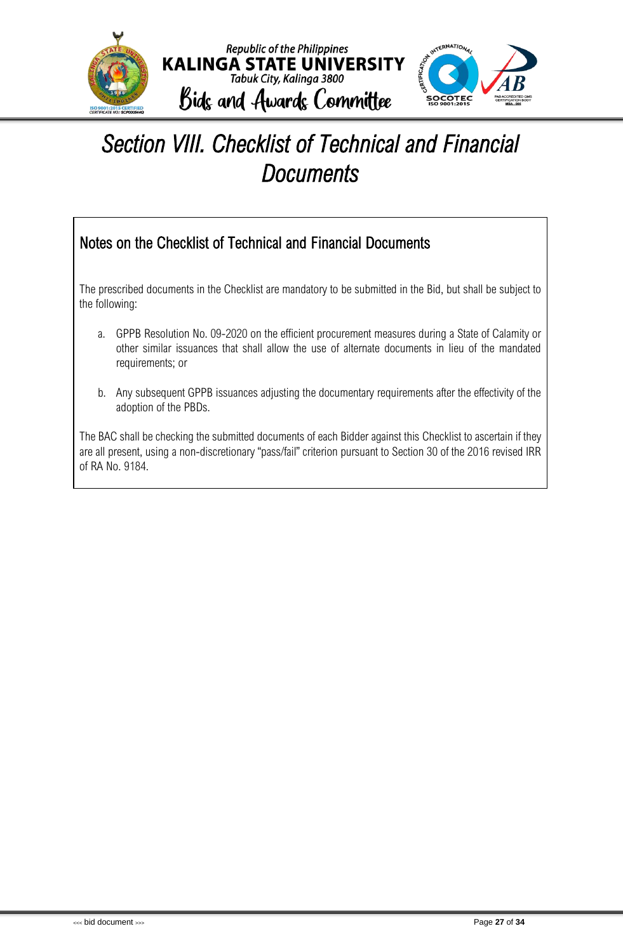

### <span id="page-28-0"></span>*Section VIII. Checklist of Technical and Financial Documents*

### Notes on the Checklist of Technical and Financial Documents

The prescribed documents in the Checklist are mandatory to be submitted in the Bid, but shall be subject to the following:

- a. GPPB Resolution No. 09-2020 on the efficient procurement measures during a State of Calamity or other similar issuances that shall allow the use of alternate documents in lieu of the mandated requirements; or
- b. Any subsequent GPPB issuances adjusting the documentary requirements after the effectivity of the adoption of the PBDs.

The BAC shall be checking the submitted documents of each Bidder against this Checklist to ascertain if they are all present, using a non-discretionary "pass/fail" criterion pursuant to Section 30 of the 2016 revised IRR of RA No. 9184.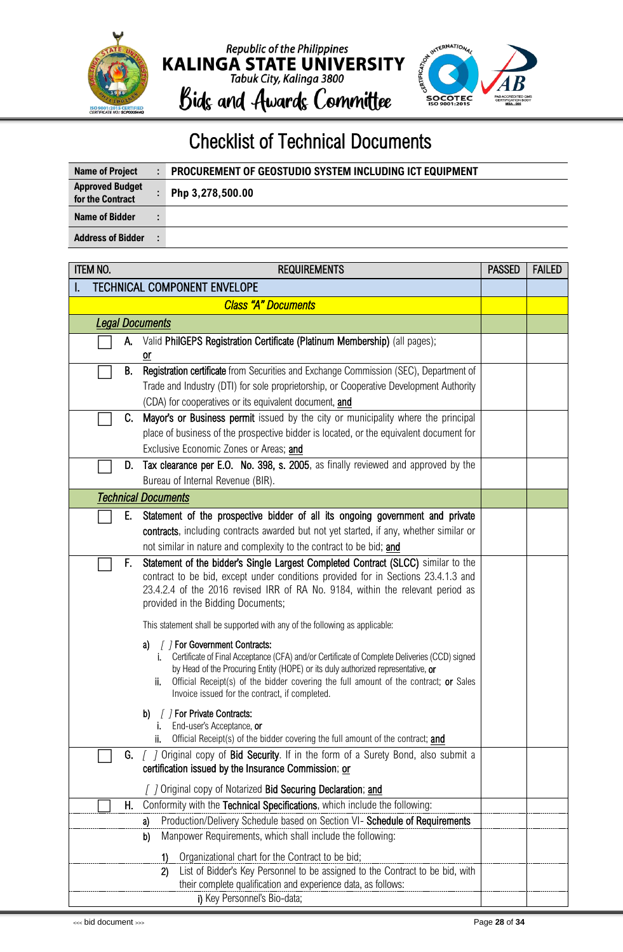



### Checklist of Technical Documents

| Name of Project                            | PROCUREMENT OF GEOSTUDIO SYSTEM INCLUDING ICT EQUIPMENT |
|--------------------------------------------|---------------------------------------------------------|
| <b>Approved Budget</b><br>for the Contract | Php 3,278,500.00                                        |
| Name of Bidder                             |                                                         |
| <b>Address of Bidder</b>                   |                                                         |

| <b>ITEM NO.</b> | <b>PASSED</b>          | <b>FAILED</b> |                                                                                                                                                                                        |  |  |  |  |
|-----------------|------------------------|---------------|----------------------------------------------------------------------------------------------------------------------------------------------------------------------------------------|--|--|--|--|
|                 |                        |               | <b>TECHNICAL COMPONENT ENVELOPE</b>                                                                                                                                                    |  |  |  |  |
|                 |                        |               | <b>Class "A" Documents</b>                                                                                                                                                             |  |  |  |  |
|                 | <b>Legal Documents</b> |               |                                                                                                                                                                                        |  |  |  |  |
|                 |                        | A.            | Valid PhilGEPS Registration Certificate (Platinum Membership) (all pages);                                                                                                             |  |  |  |  |
|                 |                        |               | or                                                                                                                                                                                     |  |  |  |  |
|                 |                        | В.            | Registration certificate from Securities and Exchange Commission (SEC), Department of                                                                                                  |  |  |  |  |
|                 |                        |               | Trade and Industry (DTI) for sole proprietorship, or Cooperative Development Authority                                                                                                 |  |  |  |  |
|                 |                        | C.            | (CDA) for cooperatives or its equivalent document, and<br>Mayor's or Business permit issued by the city or municipality where the principal                                            |  |  |  |  |
|                 |                        |               | place of business of the prospective bidder is located, or the equivalent document for                                                                                                 |  |  |  |  |
|                 |                        |               | Exclusive Economic Zones or Areas; and                                                                                                                                                 |  |  |  |  |
|                 |                        | D.            | Tax clearance per E.O. No. 398, s. 2005, as finally reviewed and approved by the                                                                                                       |  |  |  |  |
|                 |                        |               | Bureau of Internal Revenue (BIR).                                                                                                                                                      |  |  |  |  |
|                 |                        |               | <b>Technical Documents</b>                                                                                                                                                             |  |  |  |  |
|                 |                        | Е.            | Statement of the prospective bidder of all its ongoing government and private                                                                                                          |  |  |  |  |
|                 |                        |               | contracts, including contracts awarded but not yet started, if any, whether similar or                                                                                                 |  |  |  |  |
|                 |                        |               | not similar in nature and complexity to the contract to be bid; and                                                                                                                    |  |  |  |  |
|                 |                        | F.            | Statement of the bidder's Single Largest Completed Contract (SLCC) similar to the                                                                                                      |  |  |  |  |
|                 |                        |               | contract to be bid, except under conditions provided for in Sections 23.4.1.3 and                                                                                                      |  |  |  |  |
|                 |                        |               | 23.4.2.4 of the 2016 revised IRR of RA No. 9184, within the relevant period as<br>provided in the Bidding Documents;                                                                   |  |  |  |  |
|                 |                        |               |                                                                                                                                                                                        |  |  |  |  |
|                 |                        |               | This statement shall be supported with any of the following as applicable:                                                                                                             |  |  |  |  |
|                 |                        |               | / / For Government Contracts:<br>a)                                                                                                                                                    |  |  |  |  |
|                 |                        |               | Certificate of Final Acceptance (CFA) and/or Certificate of Complete Deliveries (CCD) signed<br>i.<br>by Head of the Procuring Entity (HOPE) or its duly authorized representative, or |  |  |  |  |
|                 |                        |               | Official Receipt(s) of the bidder covering the full amount of the contract; or Sales<br>ii.                                                                                            |  |  |  |  |
|                 |                        |               | Invoice issued for the contract, if completed.                                                                                                                                         |  |  |  |  |
|                 |                        |               | [ ] For Private Contracts:<br>b)                                                                                                                                                       |  |  |  |  |
|                 |                        |               | End-user's Acceptance, or<br>i.<br>Official Receipt(s) of the bidder covering the full amount of the contract; and<br>ii.                                                              |  |  |  |  |
|                 |                        | G.            | [ ] Original copy of Bid Security. If in the form of a Surety Bond, also submit a                                                                                                      |  |  |  |  |
|                 |                        |               | certification issued by the Insurance Commission; or                                                                                                                                   |  |  |  |  |
|                 |                        |               | Original copy of Notarized Bid Securing Declaration; and                                                                                                                               |  |  |  |  |
|                 |                        | Н.            | Conformity with the Technical Specifications, which include the following:                                                                                                             |  |  |  |  |
|                 |                        |               | Production/Delivery Schedule based on Section VI- Schedule of Requirements<br>a)                                                                                                       |  |  |  |  |
|                 |                        |               | Manpower Requirements, which shall include the following:<br>b)                                                                                                                        |  |  |  |  |
|                 |                        |               | Organizational chart for the Contract to be bid;<br>1)                                                                                                                                 |  |  |  |  |
|                 |                        |               | List of Bidder's Key Personnel to be assigned to the Contract to be bid, with<br>2)                                                                                                    |  |  |  |  |
|                 |                        |               | their complete qualification and experience data, as follows:                                                                                                                          |  |  |  |  |
|                 |                        |               | i) Key Personnel's Bio-data;                                                                                                                                                           |  |  |  |  |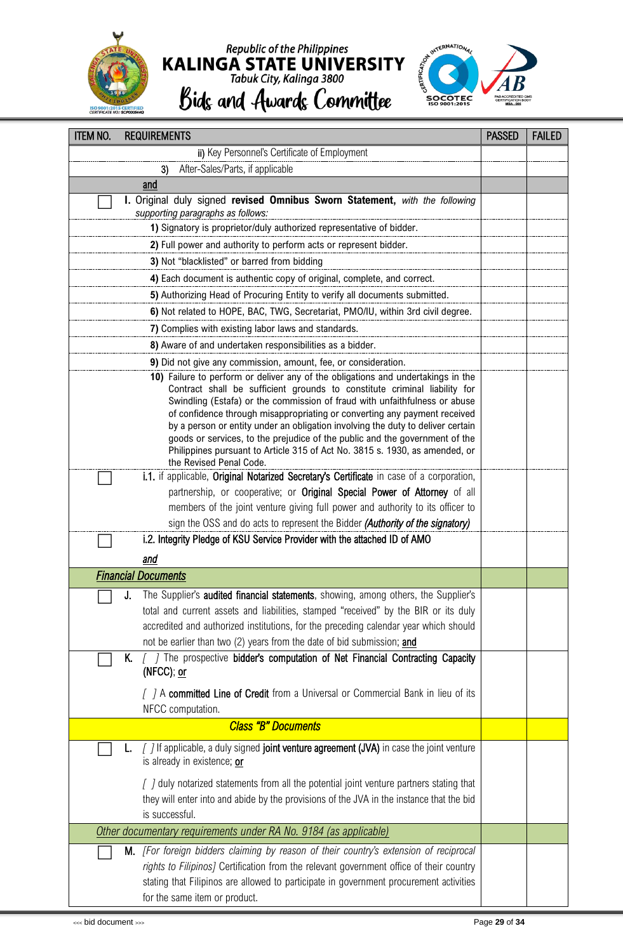

# Republic of the Philippines<br> **KALINGA STATE UNIVERSITY**<br>
Tabuk City, Kalinga 3800<br> **Bidg and Awardg Committee**



| <b>ITEM NO.</b><br><b>REQUIREMENTS</b>                                                                                                                  | <b>PASSED</b> | <b>FAILED</b> |
|---------------------------------------------------------------------------------------------------------------------------------------------------------|---------------|---------------|
| ii) Key Personnel's Certificate of Employment                                                                                                           |               |               |
| After-Sales/Parts, if applicable<br>3)                                                                                                                  |               |               |
| and                                                                                                                                                     |               |               |
| I. Original duly signed revised Omnibus Sworn Statement, with the following                                                                             |               |               |
| supporting paragraphs as follows:                                                                                                                       |               |               |
| 1) Signatory is proprietor/duly authorized representative of bidder.                                                                                    |               |               |
| 2) Full power and authority to perform acts or represent bidder.                                                                                        |               |               |
| 3) Not "blacklisted" or barred from bidding                                                                                                             |               |               |
| 4) Each document is authentic copy of original, complete, and correct.                                                                                  |               |               |
| 5) Authorizing Head of Procuring Entity to verify all documents submitted.                                                                              |               |               |
| 6) Not related to HOPE, BAC, TWG, Secretariat, PMO/IU, within 3rd civil degree.                                                                         |               |               |
| 7) Complies with existing labor laws and standards.                                                                                                     |               |               |
| 8) Aware of and undertaken responsibilities as a bidder.                                                                                                |               |               |
| 9) Did not give any commission, amount, fee, or consideration.                                                                                          |               |               |
| 10) Failure to perform or deliver any of the obligations and undertakings in the                                                                        |               |               |
| Contract shall be sufficient grounds to constitute criminal liability for                                                                               |               |               |
| Swindling (Estafa) or the commission of fraud with unfaithfulness or abuse<br>of confidence through misappropriating or converting any payment received |               |               |
| by a person or entity under an obligation involving the duty to deliver certain                                                                         |               |               |
| goods or services, to the prejudice of the public and the government of the                                                                             |               |               |
| Philippines pursuant to Article 315 of Act No. 3815 s. 1930, as amended, or                                                                             |               |               |
| the Revised Penal Code.<br>i.1. if applicable, Original Notarized Secretary's Certificate in case of a corporation,                                     |               |               |
| partnership, or cooperative; or Original Special Power of Attorney of all                                                                               |               |               |
| members of the joint venture giving full power and authority to its officer to                                                                          |               |               |
| sign the OSS and do acts to represent the Bidder (Authority of the signatory)                                                                           |               |               |
| i.2. Integrity Pledge of KSU Service Provider with the attached ID of AMO                                                                               |               |               |
|                                                                                                                                                         |               |               |
| and                                                                                                                                                     |               |               |
| <b>Financial Documents</b>                                                                                                                              |               |               |
| The Supplier's audited financial statements, showing, among others, the Supplier's<br>J.                                                                |               |               |
| total and current assets and liabilities, stamped "received" by the BIR or its duly                                                                     |               |               |
| accredited and authorized institutions, for the preceding calendar year which should                                                                    |               |               |
| not be earlier than two (2) years from the date of bid submission; and                                                                                  |               |               |
| [ ] The prospective bidder's computation of Net Financial Contracting Capacity<br>K.                                                                    |               |               |
| (NFCC); or                                                                                                                                              |               |               |
| [ ] A committed Line of Credit from a Universal or Commercial Bank in lieu of its                                                                       |               |               |
| NFCC computation.                                                                                                                                       |               |               |
| <b>Class "B" Documents</b>                                                                                                                              |               |               |
| [7] If applicable, a duly signed joint venture agreement (JVA) in case the joint venture<br>L.                                                          |               |               |
| is already in existence; or                                                                                                                             |               |               |
| [ ] duly notarized statements from all the potential joint venture partners stating that                                                                |               |               |
| they will enter into and abide by the provisions of the JVA in the instance that the bid                                                                |               |               |
| is successful.                                                                                                                                          |               |               |
| Other documentary requirements under RA No. 9184 (as applicable)                                                                                        |               |               |
| M. [For foreign bidders claiming by reason of their country's extension of reciprocal                                                                   |               |               |
| rights to Filipinos] Certification from the relevant government office of their country                                                                 |               |               |
| stating that Filipinos are allowed to participate in government procurement activities                                                                  |               |               |
| for the same item or product.                                                                                                                           |               |               |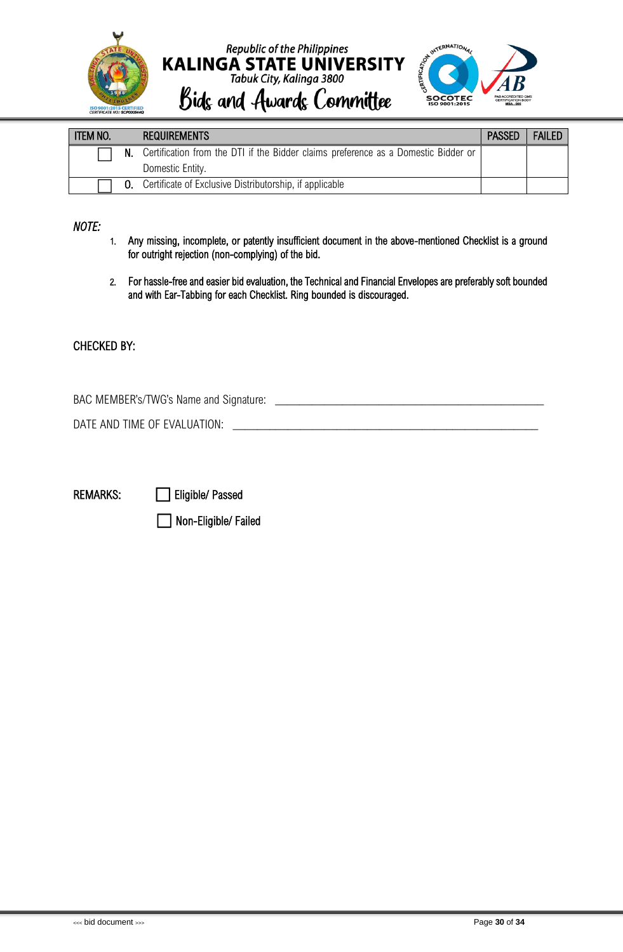



| <b>ITEM NO.</b> | <b>REQUIREMENTS</b>                                                                   | <b>PASSED</b> | <b>FAILED</b> |
|-----------------|---------------------------------------------------------------------------------------|---------------|---------------|
|                 | N. Certification from the DTI if the Bidder claims preference as a Domestic Bidder or |               |               |
|                 | Domestic Entity.                                                                      |               |               |
|                 | <b>0.</b> Certificate of Exclusive Distributorship, if applicable                     |               |               |

*NOTE:* 

- 1. Any missing, incomplete, or patently insufficient document in the above-mentioned Checklist is a ground for outright rejection (non-complying) of the bid.
- 2. For hassle-free and easier bid evaluation, the Technical and Financial Envelopes are preferably soft bounded and with Ear-Tabbing for each Checklist. Ring bounded is discouraged.

#### CHECKED BY:

BAC MEMBER's/TWG's Name and Signature: \_\_\_\_\_\_\_\_\_\_\_\_\_\_\_\_\_\_\_\_\_\_\_\_\_\_\_\_\_\_\_\_\_\_\_\_\_\_\_\_\_\_\_\_

DATE AND TIME OF EVALUATION: **We are all that the set of the set of the set of the set of the set of the set of the set of the set of the set of the set of the set of the set of the set of the set of the set of the set of** 

REMARKS: **in Eligible/ Passed** 

⬜ Non-Eligible/ Failed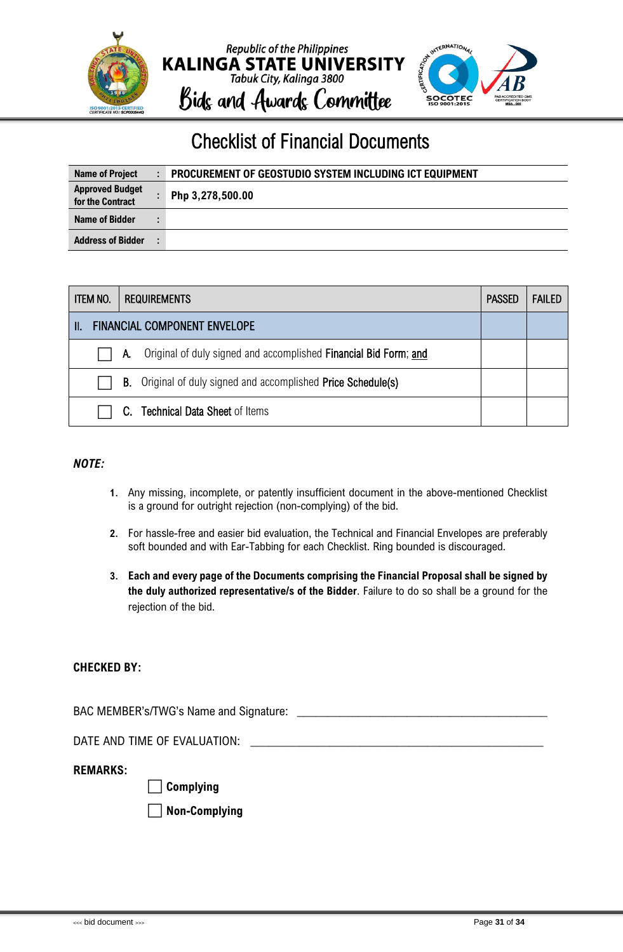

### Checklist of Financial Documents

| <b>Name of Project</b>                     | PROCUREMENT OF GEOSTUDIO SYSTEM INCLUDING ICT EQUIPMENT |
|--------------------------------------------|---------------------------------------------------------|
| <b>Approved Budget</b><br>for the Contract | Php 3,278,500.00                                        |
| Name of Bidder                             |                                                         |
| <b>Address of Bidder</b>                   |                                                         |

| <b>ITEM NO.</b> | <b>REQUIREMENTS</b> |                                                                      |  | <b>FAILED</b> |
|-----------------|---------------------|----------------------------------------------------------------------|--|---------------|
| Ш               |                     | <b>FINANCIAL COMPONENT ENVELOPE</b>                                  |  |               |
|                 | А.                  | Original of duly signed and accomplished Financial Bid Form; and     |  |               |
|                 |                     | <b>B.</b> Original of duly signed and accomplished Price Schedule(s) |  |               |
|                 |                     | C. Technical Data Sheet of Items                                     |  |               |

#### *NOTE:*

- **1.** Any missing, incomplete, or patently insufficient document in the above-mentioned Checklist is a ground for outright rejection (non-complying) of the bid.
- **2.** For hassle-free and easier bid evaluation, the Technical and Financial Envelopes are preferably soft bounded and with Ear-Tabbing for each Checklist. Ring bounded is discouraged.
- **3. Each and every page of the Documents comprising the Financial Proposal shall be signed by the duly authorized representative/s of the Bidder**. Failure to do so shall be a ground for the rejection of the bid.

#### **CHECKED BY:**

BAC MEMBER's/TWG's Name and Signature: \_\_\_\_\_\_\_\_\_\_\_\_\_\_\_\_\_\_\_\_\_\_\_\_\_\_\_\_\_\_\_\_\_\_\_\_\_\_\_\_\_

DATE AND TIME OF EVALUATION:

#### **REMARKS:**

⬜ **Complying** 

⬜ **Non-Complying**